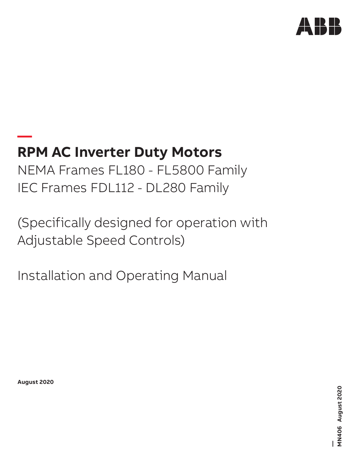

# **— RPM AC Inverter Duty Motors**

NEMA Frames FL180 - FL5800 Family IEC Frames FDL112 - DL280 Family

(Specifically designed for operation with Adjustable Speed Controls)

Installation and Operating Manual

**August 2020**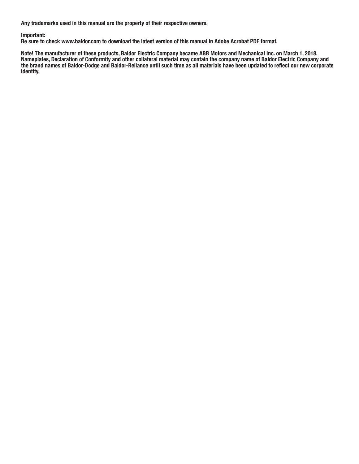Any trademarks used in this manual are the property of their respective owners.

## Important:

Be sure to check www.baldor.com to download the latest version of this manual in Adobe Acrobat PDF format.

Note! The manufacturer of these products, Baldor Electric Company became ABB Motors and Mechanical Inc. on March 1, 2018. Nameplates, Declaration of Conformity and other collateral material may contain the company name of Baldor Electric Company and the brand names of Baldor-Dodge and Baldor-Reliance until such time as all materials have been updated to reflect our new corporate identity.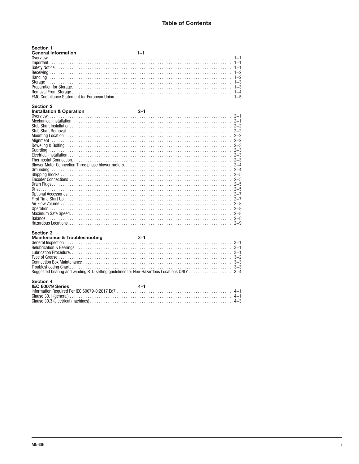| <b>Section 1</b><br><b>General Information</b>   | $1 - 1$ |
|--------------------------------------------------|---------|
| Section 2<br><b>Installation &amp; Operation</b> | $2 - 1$ |
| Mechanical Installation (1) 2-1<br>Section 3     |         |
|                                                  |         |
| <b>Section 4</b><br>IEC 60079 Series             | $4 - 1$ |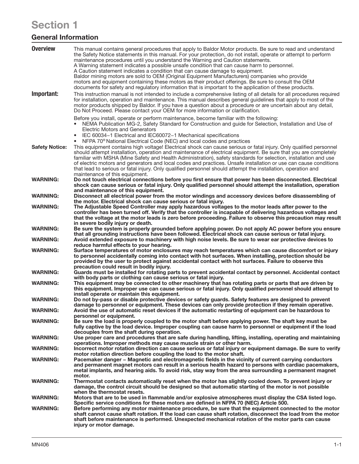# Section 1

# General Information

| <b>Overview</b>       | This manual contains general procedures that apply to Baldor Motor products. Be sure to read and understand<br>the Safety Notice statements in this manual. For your protection, do not install, operate or attempt to perform<br>maintenance procedures until you understand the Warning and Caution statements.<br>A Warning statement indicates a possible unsafe condition that can cause harm to personnel.<br>A Caution statement indicates a condition that can cause damage to equipment.<br>Baldor mining motors are sold to OEM (Original Equipment Manufacturers) companies who provide<br>motors and equipment containing these motors as their product offerings. Be sure to consult the OEM<br>documents for safety and regulatory information that is important to the application of these products. |
|-----------------------|----------------------------------------------------------------------------------------------------------------------------------------------------------------------------------------------------------------------------------------------------------------------------------------------------------------------------------------------------------------------------------------------------------------------------------------------------------------------------------------------------------------------------------------------------------------------------------------------------------------------------------------------------------------------------------------------------------------------------------------------------------------------------------------------------------------------|
| Important:            | This instruction manual is not intended to include a comprehensive listing of all details for all procedures required<br>for installation, operation and maintenance. This manual describes general guidelines that apply to most of the<br>motor products shipped by Baldor. If you have a question about a procedure or are uncertain about any detail,<br>Do Not Proceed. Please contact your OEM for more information or clarification.                                                                                                                                                                                                                                                                                                                                                                          |
|                       | Before you install, operate or perform maintenance, become familiar with the following:<br>NEMA Publication MG-2, Safety Standard for Construction and guide for Selection, Installation and Use of<br>$\bullet$<br>Electric Motors and Generators<br>IEC 60034-1 Electrical and IEC60072-1 Mechanical specifications<br>$\bullet$<br>NFPA 70 <sup>®</sup> National Electrical Code (NEC) and local codes and practices                                                                                                                                                                                                                                                                                                                                                                                              |
| <b>Safety Notice:</b> | This equipment contains high voltage! Electrical shock can cause serious or fatal injury. Only qualified personnel<br>should attempt installation, operation and maintenance of electrical equipment. Be sure that you are completely<br>familiar with MSHA (Mine Safety and Health Administration), safety standards for selection, installation and use<br>of electric motors and generators and local codes and practices. Unsafe installation or use can cause conditions<br>that lead to serious or fatal injury. Only qualified personnel should attempt the installation, operation and<br>maintenance of this equipment.                                                                                                                                                                                     |
| <b>WARNING:</b>       | Do not touch electrical connections before you first ensure that power has been disconnected. Electrical<br>shock can cause serious or fatal injury. Only qualified personnel should attempt the installation, operation<br>and maintenance of this equipment.                                                                                                                                                                                                                                                                                                                                                                                                                                                                                                                                                       |
| <b>WARNING:</b>       | Disconnect all electrical power from the motor windings and accessory devices before disassembling of<br>the motor. Electrical shock can cause serious or fatal injury.                                                                                                                                                                                                                                                                                                                                                                                                                                                                                                                                                                                                                                              |
| <b>WARNING:</b>       | The Adjustable Speed Controller may apply hazardous voltages to the motor leads after power to the<br>controller has been turned off. Verify that the controller is incapable of delivering hazardous voltages and<br>that the voltage at the motor leads is zero before proceeding. Failure to observe this precaution may result                                                                                                                                                                                                                                                                                                                                                                                                                                                                                   |
| <b>WARNING:</b>       | in severe bodily injury or death.<br>Be sure the system is properly grounded before applying power. Do not apply AC power before you ensure<br>that all grounding instructions have been followed. Electrical shock can cause serious or fatal injury.                                                                                                                                                                                                                                                                                                                                                                                                                                                                                                                                                               |
| <b>WARNING:</b>       | Avoid extended exposure to machinery with high noise levels. Be sure to wear ear protective devices to<br>reduce harmful effects to your hearing.                                                                                                                                                                                                                                                                                                                                                                                                                                                                                                                                                                                                                                                                    |
| <b>WARNING:</b>       | Surface temperatures of motor enclosures may reach temperatures which can cause discomfort or injury<br>to personnel accidentally coming into contact with hot surfaces. When installing, protection should be<br>provided by the user to protect against accidental contact with hot surfaces. Failure to observe this                                                                                                                                                                                                                                                                                                                                                                                                                                                                                              |
| <b>WARNING:</b>       | precaution could result in bodily injury.<br>Guards must be installed for rotating parts to prevent accidental contact by personnel. Accidental contact<br>with body parts or clothing can cause serious or fatal injury.                                                                                                                                                                                                                                                                                                                                                                                                                                                                                                                                                                                            |
| <b>WARNING:</b>       | This equipment may be connected to other machinery that has rotating parts or parts that are driven by<br>this equipment. Improper use can cause serious or fatal injury. Only qualified personnel should attempt to<br>install operate or maintain this equipment.                                                                                                                                                                                                                                                                                                                                                                                                                                                                                                                                                  |
| <b>WARNING:</b>       | Do not by-pass or disable protective devices or safety guards. Safety features are designed to prevent                                                                                                                                                                                                                                                                                                                                                                                                                                                                                                                                                                                                                                                                                                               |
| WARNING:              | damage to personnel or equipment. These devices can only provide protection if they remain operative.<br>Avoid the use of automatic reset devices if the automatic restarting of equipment can be hazardous to<br>personnel or equipment.                                                                                                                                                                                                                                                                                                                                                                                                                                                                                                                                                                            |
| <b>WARNING:</b>       | Be sure the load is properly coupled to the motor shaft before applying power. The shaft key must be<br>fully captive by the load device. Improper coupling can cause harm to personnel or equipment if the load<br>decouples from the shaft during operation.                                                                                                                                                                                                                                                                                                                                                                                                                                                                                                                                                       |
| <b>WARNING:</b>       | Use proper care and procedures that are safe during handling, lifting, installing, operating and maintaining<br>operations. Improper methods may cause muscle strain or other harm.                                                                                                                                                                                                                                                                                                                                                                                                                                                                                                                                                                                                                                  |
| <b>WARNING:</b>       | Incorrect motor rotation direction can cause serious or fatal injury or equipment damage. Be sure to verify<br>motor rotation direction before coupling the load to the motor shaft.                                                                                                                                                                                                                                                                                                                                                                                                                                                                                                                                                                                                                                 |
| <b>WARNING:</b>       | Pacemaker danger – Magnetic and electromagnetic fields in the vicinity of current carrying conductors<br>and permanent magnet motors can result in a serious health hazard to persons with cardiac pacemakers,<br>metal implants, and hearing aids. To avoid risk, stay way from the area surrounding a permanent magnet<br>motor.                                                                                                                                                                                                                                                                                                                                                                                                                                                                                   |
| <b>WARNING:</b>       | Thermostat contacts automatically reset when the motor has slightly cooled down. To prevent injury or<br>damage, the control circuit should be designed so that automatic starting of the motor is not possible<br>when the thermostat resets.                                                                                                                                                                                                                                                                                                                                                                                                                                                                                                                                                                       |
| <b>WARNING:</b>       | Motors that are to be used in flammable and/or explosive atmospheres must display the CSA listed logo.<br>Specific service conditions for these motors are defined in NFPA 70 (NEC) Article 500.                                                                                                                                                                                                                                                                                                                                                                                                                                                                                                                                                                                                                     |
| <b>WARNING:</b>       | Before performing any motor maintenance procedure, be sure that the equipment connected to the motor<br>shaft cannot cause shaft rotation. If the load can cause shaft rotation, disconnect the load from the motor<br>shaft before maintenance is performed. Unexpected mechanical rotation of the motor parts can cause<br>injury or motor damage.                                                                                                                                                                                                                                                                                                                                                                                                                                                                 |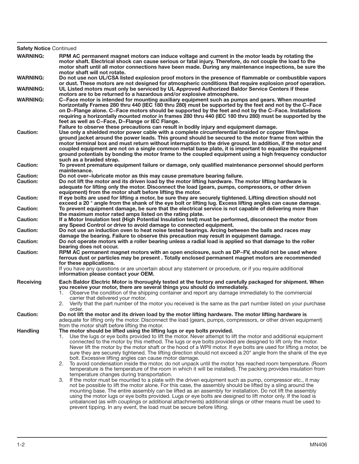| <b>Safety Notice Continued</b>     |                                                                                                                                                                                                                                                                                                                                                                                                                                                                                                                                                                                                                                                                                                                                                                                                                                                                                                                                                                                                                                                                                                                                                                                                                                                                                                                                                                                                                                                                                                                                                          |
|------------------------------------|----------------------------------------------------------------------------------------------------------------------------------------------------------------------------------------------------------------------------------------------------------------------------------------------------------------------------------------------------------------------------------------------------------------------------------------------------------------------------------------------------------------------------------------------------------------------------------------------------------------------------------------------------------------------------------------------------------------------------------------------------------------------------------------------------------------------------------------------------------------------------------------------------------------------------------------------------------------------------------------------------------------------------------------------------------------------------------------------------------------------------------------------------------------------------------------------------------------------------------------------------------------------------------------------------------------------------------------------------------------------------------------------------------------------------------------------------------------------------------------------------------------------------------------------------------|
| <b>WARNING:</b>                    | RPM AC permanent magnet motors can induce voltage and current in the motor leads by rotating the<br>motor shaft. Electrical shock can cause serious or fatal injury. Therefore, do not couple the load to the<br>motor shaft until all motor connections have been made. During any maintenance inspections, be sure the<br>motor shaft will not rotate.                                                                                                                                                                                                                                                                                                                                                                                                                                                                                                                                                                                                                                                                                                                                                                                                                                                                                                                                                                                                                                                                                                                                                                                                 |
| <b>WARNING:</b>                    | Do not use non UL/CSA listed explosion proof motors in the presence of flammable or combustible vapors                                                                                                                                                                                                                                                                                                                                                                                                                                                                                                                                                                                                                                                                                                                                                                                                                                                                                                                                                                                                                                                                                                                                                                                                                                                                                                                                                                                                                                                   |
| <b>WARNING:</b>                    | or dust. These motors are not designed for atmospheric conditions that require explosion proof operation.<br>UL Listed motors must only be serviced by UL Approved Authorized Baldor Service Centers if these<br>motors are to be returned to a hazardous and/or explosive atmosphere.                                                                                                                                                                                                                                                                                                                                                                                                                                                                                                                                                                                                                                                                                                                                                                                                                                                                                                                                                                                                                                                                                                                                                                                                                                                                   |
| <b>WARNING:</b>                    | C-Face motor is intended for mounting auxiliary equipment such as pumps and gears. When mounted<br>horizontally Frames 280 thru 440 (IEC 180 thru 280) must be supported by the feet and not by the C-Face<br>on D–Flange alone. C–Face motors should be supported by the feet and not by the C–Face. Installations<br>requiring a horizontally mounted motor in frames 280 thru 440 (IEC 180 thru 280) must be supported by the<br>feet as well as C-Face, D-Flange or IEC Flange.                                                                                                                                                                                                                                                                                                                                                                                                                                                                                                                                                                                                                                                                                                                                                                                                                                                                                                                                                                                                                                                                      |
| <b>Caution:</b>                    | Failure to observe these precautions can result in bodily injury and equipment damage.<br>Use only a shielded motor power cable with a complete circumferential braided or copper film/tape<br>ground jacket around the power leads. This ground should be secured to the motor frame from within the<br>motor terminal box and must return without interruption to the drive ground. In addition, if the motor and<br>coupled equipment are not on a single common metal base plate, it is important to equalize the equipment<br>ground potentials by bonding the motor frame to the coupled equipment using a high frequency conductor<br>such as a braided strap.                                                                                                                                                                                                                                                                                                                                                                                                                                                                                                                                                                                                                                                                                                                                                                                                                                                                                    |
| <b>Caution:</b>                    | To prevent premature equipment failure or damage, only qualified maintenance personnel should perform<br>maintenance.                                                                                                                                                                                                                                                                                                                                                                                                                                                                                                                                                                                                                                                                                                                                                                                                                                                                                                                                                                                                                                                                                                                                                                                                                                                                                                                                                                                                                                    |
| <b>Caution:</b><br><b>Caution:</b> | Do not over-lubricate motor as this may cause premature bearing failure.<br>Do not lift the motor and its driven load by the motor lifting hardware. The motor lifting hardware is<br>adequate for lifting only the motor. Disconnect the load (gears, pumps, compressors, or other driven                                                                                                                                                                                                                                                                                                                                                                                                                                                                                                                                                                                                                                                                                                                                                                                                                                                                                                                                                                                                                                                                                                                                                                                                                                                               |
| <b>Caution:</b>                    | equipment) from the motor shaft before lifting the motor.<br>If eye bolts are used for lifting a motor, be sure they are securely tightened. Lifting direction should not<br>exceed a 20 ° angle from the shank of the eye bolt or lifting lug. Excess lifting angles can cause damage.                                                                                                                                                                                                                                                                                                                                                                                                                                                                                                                                                                                                                                                                                                                                                                                                                                                                                                                                                                                                                                                                                                                                                                                                                                                                  |
| <b>Caution:</b>                    | To prevent equipment damage, be sure that the electrical service is not capable of delivering more than<br>the maximum motor rated amps listed on the rating plate.                                                                                                                                                                                                                                                                                                                                                                                                                                                                                                                                                                                                                                                                                                                                                                                                                                                                                                                                                                                                                                                                                                                                                                                                                                                                                                                                                                                      |
| <b>Caution:</b>                    | If a Motor Insulation test (High Potential Insulation test) must be performed, disconnect the motor from<br>any Speed Control or drive to avoid damage to connected equipment.                                                                                                                                                                                                                                                                                                                                                                                                                                                                                                                                                                                                                                                                                                                                                                                                                                                                                                                                                                                                                                                                                                                                                                                                                                                                                                                                                                           |
| <b>Caution:</b>                    | Do not use an induction oven to heat noise tested bearings. Arcing between the balls and races may<br>damage the bearing. Failure to observe this precaution may result in equipment damage.                                                                                                                                                                                                                                                                                                                                                                                                                                                                                                                                                                                                                                                                                                                                                                                                                                                                                                                                                                                                                                                                                                                                                                                                                                                                                                                                                             |
| <b>Caution:</b>                    | Do not operate motors with a roller bearing unless a radial load is applied so that damage to the roller<br>bearing does not occur.                                                                                                                                                                                                                                                                                                                                                                                                                                                                                                                                                                                                                                                                                                                                                                                                                                                                                                                                                                                                                                                                                                                                                                                                                                                                                                                                                                                                                      |
| <b>Caution:</b>                    | RPM AC permanent magnet motors with an open enclosure, such as DP-FV, should not be used where<br>ferrous dust or particles may be present. Totally enclosed permanent magnet motors are recommended<br>for these applications.<br>If you have any questions or are uncertain about any statement or procedure, or if you require additional                                                                                                                                                                                                                                                                                                                                                                                                                                                                                                                                                                                                                                                                                                                                                                                                                                                                                                                                                                                                                                                                                                                                                                                                             |
|                                    | information please contact your OEM.                                                                                                                                                                                                                                                                                                                                                                                                                                                                                                                                                                                                                                                                                                                                                                                                                                                                                                                                                                                                                                                                                                                                                                                                                                                                                                                                                                                                                                                                                                                     |
| <b>Receiving</b>                   | Each Baldor Electric Motor is thoroughly tested at the factory and carefully packaged for shipment. When<br>you receive your motor, there are several things you should do immediately.                                                                                                                                                                                                                                                                                                                                                                                                                                                                                                                                                                                                                                                                                                                                                                                                                                                                                                                                                                                                                                                                                                                                                                                                                                                                                                                                                                  |
|                                    | Observe the condition of the shipping container and report any damage immediately to the commercial<br>1.<br>carrier that delivered your motor.<br>Verify that the part number of the motor you received is the same as the part number listed on your purchase                                                                                                                                                                                                                                                                                                                                                                                                                                                                                                                                                                                                                                                                                                                                                                                                                                                                                                                                                                                                                                                                                                                                                                                                                                                                                          |
| <b>Caution:</b>                    | order.<br>Do not lift the motor and its driven load by the motor lifting hardware. The motor lifting hardware is<br>adequate for lifting only the motor. Disconnect the load (gears, pumps, compressors, or other driven equipment)<br>from the motor shaft before lifting the motor.                                                                                                                                                                                                                                                                                                                                                                                                                                                                                                                                                                                                                                                                                                                                                                                                                                                                                                                                                                                                                                                                                                                                                                                                                                                                    |
| <b>Handling</b>                    | The motor should be lifted using the lifting lugs or eye bolts provided.<br>Use the lugs or eye bolts provided to lift the motor. Never attempt to lift the motor and additional equipment<br>1.<br>connected to the motor by this method. The lugs or eye bolts provided are designed to lift only the motor.<br>Never lift the motor by the motor shaft or the hood of a WPII motor. If eye bolts are used for lifting a motor, be<br>sure they are securely tightened. The lifting direction should not exceed a 20° angle from the shank of the eye<br>bolt. Excessive lifting angles can cause motor damage.<br>2. To avoid condensation inside the motor, do not unpack until the motor has reached room temperature. (Room<br>temperature is the temperature of the room in which it will be installed). The packing provides insulation from<br>temperature changes during transportation.<br>If the motor must be mounted to a plate with the driven equipment such as pump, compressor etc., it may<br>3.<br>not be possible to lift the motor alone. For this case, the assembly should be lifted by a sling around the<br>mounting base. The entire assembly can be lifted as an assembly for installation. Do not lift the assembly<br>using the motor lugs or eye bolts provided. Lugs or eye bolts are designed to lift motor only. If the load is<br>unbalanced (as with couplings or additional attachments) additional slings or other means must be used to<br>prevent tipping. In any event, the load must be secure before lifting. |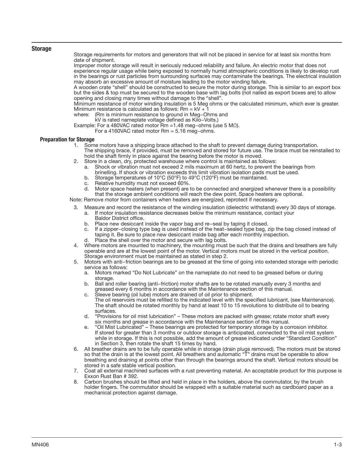#### Storage

Storage requirements for motors and generators that will not be placed in service for at least six months from date of shipment.

Improper motor storage will result in seriously reduced reliability and failure. An electric motor that does not experience regular usage while being exposed to normally humid atmospheric conditions is likely to develop rust in the bearings or rust particles from surrounding surfaces may contaminate the bearings. The electrical insulation may absorb an excessive amount of moisture leading to the motor winding failure.

A wooden crate "shell" should be constructed to secure the motor during storage. This is similar to an export box but the sides & top must be secured to the wooden base with lag bolts (not nailed as export boxes are) to allow opening and closing many times without damage to the "shell".

Minimum resistance of motor winding insulation is 5 Meg ohms or the calculated minimum, which ever is greater. Minimum resistance is calculated as follows:  $Rm = kV + 1$ 

- where: (Rm is minimum resistance to ground in Meg−Ohms and
	- kV is rated nameplate voltage defined as Kilo−Volts.)

Example: For a 480VAC rated motor Rm =1.48 meg−ohms (use 5 MΩ).

For a 4160VAC rated motor Rm = 5.16 meg−ohms.

# **Preparation for Storage**<br>1. Som

- Some motors have a shipping brace attached to the shaft to prevent damage during transportation. The shipping brace, if provided, must be removed and stored for future use. The brace must be reinstalled to hold the shaft firmly in place against the bearing before the motor is moved.
- 2. Store in a clean, dry, protected warehouse where control is maintained as follows:
	- a. Shock or vibration must not exceed 2 mils maximum at 60 hertz, to prevent the bearings from brinelling. If shock or vibration exceeds this limit vibration isolation pads must be used.
	- b. Storage temperatures of 10°C (50°F) to 49°C (120°F) must be maintained.
	- c. Relative humidity must not exceed 60%.
	- d. Motor space heaters (when present) are to be connected and energized whenever there is a possibility that the storage ambient conditions will reach the dew point. Space heaters are optional.

Note: Remove motor from containers when heaters are energized, reprotect if necessary.

- 3. Measure and record the resistance of the winding insulation (dielectric withstand) every 30 days of storage.
	- a. If motor insulation resistance decreases below the minimum resistance, contact your Baldor District office.
	- b. Place new desiccant inside the vapor bag and re−seal by taping it closed.
	- c. If a zipper−closing type bag is used instead of the heat−sealed type bag, zip the bag closed instead of taping it. Be sure to place new desiccant inside bag after each monthly inspection.
	- Place the shell over the motor and secure with lag bolts.
- 4. Where motors are mounted to machinery, the mounting must be such that the drains and breathers are fully operable and are at the lowest point of the motor. Vertical motors must be stored in the vertical position. Storage environment must be maintained as stated in step 2.
- 5. Motors with anti−friction bearings are to be greased at the time of going into extended storage with periodic service as follows:
	- a. Motors marked "Do Not Lubricate" on the nameplate do not need to be greased before or during storage.
	- b. Ball and roller bearing (anti−friction) motor shafts are to be rotated manually every 3 months and greased every 6 months in accordance with the Maintenance section of this manual.
	- c. Sleeve bearing (oil lube) motors are drained of oil prior to shipment. The oil reservoirs must be refilled to the indicated level with the specified lubricant, (see Maintenance). The shaft should be rotated monthly by hand at least 10 to 15 revolutions to distribute oil to bearing surfaces.
	- d. "Provisions for oil mist lubrication" These motors are packed with grease; rotate motor shaft every six months and grease in accordance with the Maintenance section of this manual.
	- e. "Oil Mist Lubricated" These bearings are protected for temporary storage by a corrosion inhibitor. If stored for greater than 3 months or outdoor storage is anticipated, connected to the oil mist system while in storage. If this is not possible, add the amount of grease indicated under "Standard Condition" in Section 3, then rotate the shaft 15 times by hand.
- 6. All breather drains are to be fully operable while in storage (drain plugs removed). The motors must be stored so that the drain is at the lowest point. All breathers and automatic "T" drains must be operable to allow breathing and draining at points other than through the bearings around the shaft. Vertical motors should be stored in a safe stable vertical position.
- 7. Coat all external machined surfaces with a rust preventing material. An acceptable product for this purpose is Exxon Rust Ban # 392.
- 8. Carbon brushes should be lifted and held in place in the holders, above the commutator, by the brush holder fingers. The commutator should be wrapped with a suitable material such as cardboard paper as a mechanical protection against damage.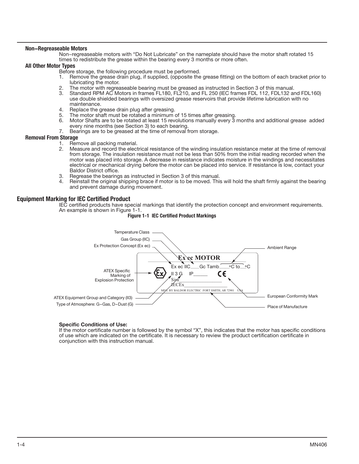#### Non−Regreaseable Motors

Non−regreaseable motors with "Do Not Lubricate" on the nameplate should have the motor shaft rotated 15 times to redistribute the grease within the bearing every 3 months or more often.

#### All Other Motor Types

- Before storage, the following procedure must be performed.<br>1 Bemove the grease drain plug if supplied (opposite the
	- Remove the grease drain plug, if supplied, (opposite the grease fitting) on the bottom of each bracket prior to lubricating the motor.
- 2. The motor with regreaseable bearing must be greased as instructed in Section 3 of this manual.<br>3. Standard RPM AC Motors in frames FL180, FL210, and FL250 (IFC frames FDL112, FDL132 ar
- Standard RPM AC Motors in frames FL180, FL210, and FL 250 (IEC frames FDL 112, FDL132 and FDL160) use double shielded bearings with oversized grease reservoirs that provide lifetime lubrication with no maintenance.
- 4. Replace the grease drain plug after greasing.<br>5. The motor shaft must be rotated a minimum
- The motor shaft must be rotated a minimum of 15 times after greasing.
- 6. Motor Shafts are to be rotated at least 15 revolutions manually every 3 months and additional grease added every nine months (see Section 3) to each bearing.
- 7. Bearings are to be greased at the time of removal from storage.

#### Removal From Storage

- 1. Remove all packing material.
- 2. Measure and record the electrical resistance of the winding insulation resistance meter at the time of removal from storage. The insulation resistance must not be less than 50% from the initial reading recorded when the motor was placed into storage. A decrease in resistance indicates moisture in the windings and necessitates electrical or mechanical drying before the motor can be placed into service. If resistance is low, contact your Baldor District office.
- 3. Regrease the bearings as instructed in Section 3 of this manual.<br>4. Beinstall the original shipping brace if motor is to be moved. This
- Reinstall the original shipping brace if motor is to be moved. This will hold the shaft firmly against the bearing and prevent damage during movement.

#### Equipment Marking for IEC Certified Product

IEC certified products have special markings that identify the protection concept and environment requirements. An example is shown in Figure 1-1.



# Figure 1-1 IEC Certified Product Markings

### Specific Conditions of Use:

If the motor certificate number is followed by the symbol "X", this indicates that the motor has specific conditions of use which are indicated on the certificate. It is necessary to review the product certification certificate in conjunction with this instruction manual.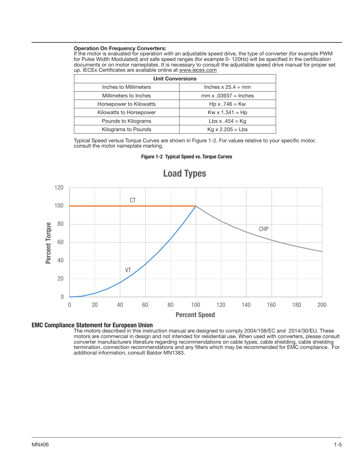#### Operation On Frequency Converters:

If the motor is evaluated for operation with an adjustable speed drive, the type of converter (for example PWM for Pulse Width Modulated) and safe speed ranges (for example 0- 120Hz) will be specified in the certification documents or on motor nameplates. It is necessary to consult the adjustable speed drive manual for proper set up. IECEx Certificates are available online at www.iecex.com

| <b>Unit Conversions</b> |                             |  |  |  |  |  |  |  |
|-------------------------|-----------------------------|--|--|--|--|--|--|--|
| Inches to Millimeters   | Inches $x 25.4 = mm$        |  |  |  |  |  |  |  |
| Millimeters to Inches   | $mm \times .03937 = Inches$ |  |  |  |  |  |  |  |
| Horsepower to Kilowatts | $Hp \times .746 = Kw$       |  |  |  |  |  |  |  |
| Kilowatts to Horsepower | $Kw \times 1.341 = Hp$      |  |  |  |  |  |  |  |
| Pounds to Kilograms     | Lbs x $.454 = Kq$           |  |  |  |  |  |  |  |
| Kilograms to Pounds     | $Kg \times 2.205 = Lbs$     |  |  |  |  |  |  |  |

Typical Speed versus Torque Curves are shown in Figure 1-2. For values relative to your specific motor, consult the motor nameplate marking.



# Figure 1-2 Typical Speed vs. Torque Curves

# EMC Compliance Statement for European Union

The motors described in this instruction manual are designed to comply 2004/108/EC and 2014/30/EU. These motors are commercial in design and not intended for residential use. When used with converters, please consult converter manufacturers literature regarding recommendations on cable types, cable shielding, cable shielding termination, connection recommendations and any filters which may be recommended for EMC compliance. For additional information, consult Baldor MN1383.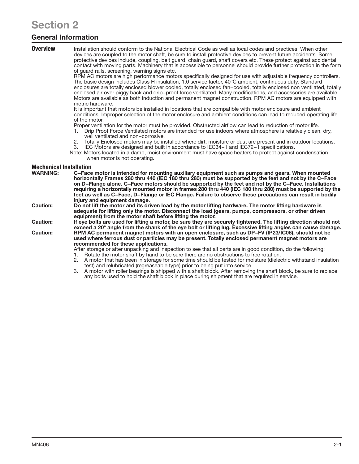# Section 2

# General Information

**Overview** Installation should conform to the National Electrical Code as well as local codes and practices. When other devices are coupled to the motor shaft, be sure to install protective devices to prevent future accidents. Some protective devices include, coupling, belt guard, chain guard, shaft covers etc. These protect against accidental contact with moving parts. Machinery that is accessible to personnel should provide further protection in the form of guard rails, screening, warning signs etc.

RPM AC motors are high performance motors specifically designed for use with adjustable frequency controllers. The basic design includes Class H insulation, 1.0 service factor, 40°C ambient, continuous duty. Standard enclosures are totally enclosed blower cooled, totally enclosed fan−cooled, totally enclosed non ventilated, totally enclosed air over piggy back and drip−proof force ventilated. Many modifications, and accessories are available. Motors are available as both induction and permanent magnet construction. RPM AC motors are equipped with metric hardware.

It is important that motors be installed in locations that are compatible with motor enclosure and ambient conditions. Improper selection of the motor enclosure and ambient conditions can lead to reduced operating life of the motor.

Proper ventilation for the motor must be provided. Obstructed airflow can lead to reduction of motor life.

- 1. Drip Proof Force Ventilated motors are intended for use indoors where atmosphere is relatively clean, dry, well ventilated and non−corrosive.
- 2. Totally Enclosed motors may be installed where dirt, moisture or dust are present and in outdoor locations. 3. IEC Motors are designed and built in accordance to IEC34−1 and IEC72−1 specifications.
- Note: Motors located in a damp, moist environment must have space heaters to protect against condensation when motor is not operating.

# Mechanical Installation

| <b>WARNING:</b> | C-Face motor is intended for mounting auxiliary equipment such as pumps and gears. When mounted<br>horizontally Frames 280 thru 440 (IEC 180 thru 280) must be supported by the feet and not by the C-Face                                                                  |
|-----------------|-----------------------------------------------------------------------------------------------------------------------------------------------------------------------------------------------------------------------------------------------------------------------------|
|                 | on D-Flange alone. C-Face motors should be supported by the feet and not by the C-Face. Installations<br>requiring a horizontally mounted motor in frames 280 thru 440 (IEC 180 thru 280) must be supported by the                                                          |
|                 | feet as well as C-Face, D-Flange or IEC Flange. Failure to observe these precautions can result in bodily<br>iniury and equipment damage.                                                                                                                                   |
| <b>Caution:</b> | Do not lift the motor and its driven load by the motor lifting hardware. The motor lifting hardware is<br>adequate for lifting only the motor. Disconnect the load (gears, pumps, compressors, or other driven<br>equipment) from the motor shaft before lifting the motor. |
| <b>Caution:</b> | If eye bolts are used for lifting a motor, be sure they are securely tightened. The lifting direction should not<br>exceed a 20° angle from the shank of the eye bolt or lifting lug. Excessive lifting angles can cause damage.                                            |
| Caution:        | RPM AC permanent magnet motors with an open enclosure, such as DP-FV (IP23/IC06), should not be                                                                                                                                                                             |

used where ferrous dust or particles may be present. Totally enclosed permanent magnet motors are recommended for these applications.

- After storage or after unpacking and inspection to see that all parts are in good condition, do the following:
- 1. Rotate the motor shaft by hand to be sure there are no obstructions to free rotation.<br>2. A motor that has been in storage for some time should be tested for moisture (dieled
- 2. A motor that has been in storage for some time should be tested for moisture (dielectric withstand insulation test) and relubricated (regreaseable type) prior to being put into service.
- 3. A motor with roller bearings is shipped with a shaft block. After removing the shaft block, be sure to replace any bolts used to hold the shaft block in place during shipment that are required in service.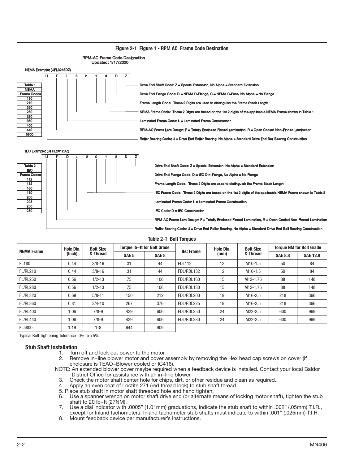





Table 2-1 Bolt Torques

| <b>NEMA Frame</b> | Hole Dia. | <b>Bolt Size</b> |                  | <b>Torque Ib-ft for Bolt Grade</b> | <b>IEC Frame</b> | Hole Dia. | <b>Bolt Size</b>      | <b>Torque NM for Bolt Grade</b> |                 |  |  |  |  |  |
|-------------------|-----------|------------------|------------------|------------------------------------|------------------|-----------|-----------------------|---------------------------------|-----------------|--|--|--|--|--|
|                   | (Inch)    | & Thread         | SAE <sub>5</sub> | SAE <sub>8</sub>                   |                  | (mm)      | & Thread              | <b>SAE 8.8</b>                  | <b>SAE 12.9</b> |  |  |  |  |  |
| FL180             | 0.44      | $3/8 - 16$       | 31               | 44                                 | <b>FDL112</b>    | 12        | $M10-1.5$             | 50                              | 84              |  |  |  |  |  |
| <b>FL/RL210</b>   | 0.44      | $3/8 - 16$       | 31               | 44                                 | FDL/RDL132       | 12        | $M10-1.5$             | 50                              | 84              |  |  |  |  |  |
| <b>FL/RL250</b>   | 0.56      | $1/2 - 13$       | 75               | 106                                | FDL/RDL160       | 15        | M12-1.75              | 88                              | 148             |  |  |  |  |  |
| <b>FL/RL280</b>   | 0.56      | $1/2 - 13$       | 75               | 106                                | FDL/RDL180       | 15        | M <sub>12</sub> -1.75 | 88                              | 148             |  |  |  |  |  |
| <b>FL/RL320</b>   | 0.69      | $5/8 - 11$       | 150              | 212                                | FDL/RDL200       | 19        | M16-2.5               | 218                             | 366             |  |  |  |  |  |
| <b>FL/RL360</b>   | 0.81      | $3/4 - 10$       | 267              | 376                                | FDL/RDL225       | 19        | M16-2.5               | 218                             | 366             |  |  |  |  |  |
| <b>FL/RL400</b>   | 1.06      | $7/8 - 9$        | 429              | 606                                | FDL/RDL250       | 24        | M22-2.5               | 600                             | 969             |  |  |  |  |  |
| <b>FL/RL440</b>   | 1.06      | $7/8 - 9$        | 429              | 606                                | FDL/RDL280       | 24        | M22-2.5               | 600                             | 969             |  |  |  |  |  |
| <b>FL5800</b>     | 1.19      | $1 - 8$          | 644              | 909                                |                  |           |                       |                                 |                 |  |  |  |  |  |

Typical Bolt Tightening Tolerance -0% to +5%

## Stub Shaft Installation

- 1. Turn off and lock out power to the motor.
- 2. Remove in−line blower motor and cover assembly by removing the Hex head cap screws on cover (if enclosure is TEAO−Blower cooled or IC416).

NOTE: An extended blower cover maybe required when a feedback device is installed. Contact your local Baldor District Office for assistance with an in−line blower.

- 3. Check the motor shaft center hole for chips, dirt, or other residue and clean as required.
- 4. Apply an even coat of Loctite 271 (red thread lock) to stub shaft thread.
- 5. Place stub shaft in motor shaft threaded hole and hand tighten.
- 6. Use a spanner wrench on motor shaft drive end (or alternate means of locking motor shaft), tighten the stub shaft to 20 lb−ft (27NM).
- 7. Use a dial indicator with .0005" (1.01mm) graduations, indicate the stub shaft to within .002" (.05mm) T.I.R., except for Inland tachometers. Inland tachometer stub shafts must indicate to within .001" (.025mm) T.I.R.
- 8. Mount feedback device per manufacturer's instructions.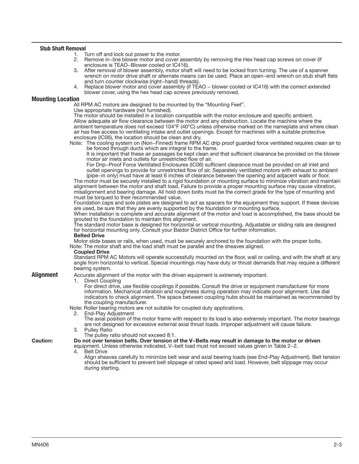# Stub Shaft Removal

- 1. Turn off and lock out power to the motor.<br>2. Remove in-line blower motor and cover a
- Remove in−line blower motor and cover assembly by removing the Hex head cap screws on cover (if enclosure is TEAO−Blower cooled or IC416).
- 3. After removal of blower assembly, motor shaft will need to be locked from turning. The use of a spanner wrench on motor drive shaft or alternate means can be used. Place an open−end wrench on stub shaft flats and turn counter clockwise (right−hand) threads).
- 4. Replace blower motor and cover assembly (if TEAO − blower cooled or IC416) with the correct extended blower cover, using the hex head cap screws previously removed.

#### Mounting Location

All RPM AC motors are designed to be mounted by the "Mounting Feet".

Use appropriate hardware (not furnished).

The motor should be installed in a location compatible with the motor enclosure and specific ambient. Allow adequate air flow clearance between the motor and any obstruction. Locate the machine where the ambient temperature does not exceed 104°F (40°C) unless otherwise marked on the nameplate and where clean air has free access to ventilating intake and outlet openings. Except for machines with a suitable protective enclosure (IC06), the location should be clean and dry.

Note: The cooling system on (Non−Finned) frame RPM AC drip proof guarded force ventilated requires clean air to be forced through ducts which are integral to the frame.

It is important that these air passages be kept clean and that sufficient clearance be provided on the blower motor air inlets and outlets for unrestricted flow of air.

For Drip−Proof Force Ventilated Enclosures (IC06) sufficient clearance must be provided on all inlet and outlet openings to provide for unrestricted flow of air. Separately ventilated motors with exhaust to ambient (pipe−in only) must have at least 6 inches of clearance between the opening and adjacent walls or floor.

The motor must be securely installed to a rigid foundation or mounting surface to minimize vibration and maintain alignment between the motor and shaft load. Failure to provide a proper mounting surface may cause vibration, misalignment and bearing damage. All hold down bolts must be the correct grade for the type of mounting and must be torqued to their recommended value.

Foundation caps and sole plates are designed to act as spacers for the equipment they support. If these devices are used, be sure that they are evenly supported by the foundation or mounting surface.

When installation is complete and accurate alignment of the motor and load is accomplished, the base should be grouted to the foundation to maintain this alignment.

The standard motor base is designed for horizontal or vertical mounting. Adjustable or sliding rails are designed for horizontal mounting only. Consult your Baldor District Office for further information.

# Belted Drive

Motor slide bases or rails, when used, must be securely anchored to the foundation with the proper bolts. Note: The motor shaft and the load shaft must be parallel and the sheaves aligned.

#### Coupled Drive

Standard RPM AC Motors will operate successfully mounted on the floor, wall or ceiling, and with the shaft at any angle from horizontal to vertical. Special mountings may have duty or thrust demands that may require a different bearing system.

**Alignment** Accurate alignment of the motor with the driven equipment is extremely important.

1. Direct Coupling

For direct drive, use flexible couplings if possible. Consult the drive or equipment manufacturer for more information. Mechanical vibration and roughness during operation may indicate poor alignment. Use dial indicators to check alignment. The space between coupling hubs should be maintained as recommended by the coupling manufacturer.

Note: Roller bearing motors are not suitable for coupled duty applications.

2. End-Play Adjustment

The axial position of the motor frame with respect to its load is also extremely important. The motor bearings are not designed for excessive external axial thrust loads. Improper adjustment will cause failure.

- 3. Pulley Ratio
	- The pulley ratio should not exceed 8:1.

Caution: Do not over tension belts. Over tension of the V−Belts may result in damage to the motor or driven equipment. Unless otherwise indicated, V–belt load must not exceed values given in Table 2–2.<br>4 Belt Drive

Belt Drive

Align sheaves carefully to minimize belt wear and axial bearing loads (see End-Play Adjustment). Belt tension should be sufficient to prevent belt slippage at rated speed and load. However, belt slippage may occur during starting.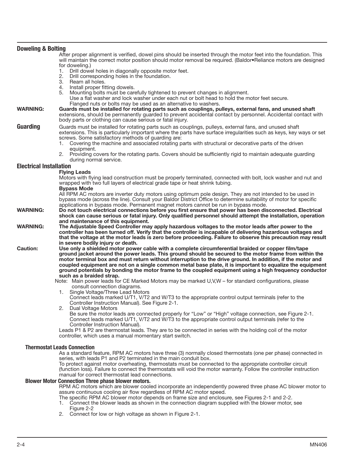| <b>Doweling &amp; Bolting</b>  |                                                                                                                                                                                                                                                                                                      |
|--------------------------------|------------------------------------------------------------------------------------------------------------------------------------------------------------------------------------------------------------------------------------------------------------------------------------------------------|
|                                | After proper alignment is verified, dowel pins should be inserted through the motor feet into the foundation. This<br>will maintain the correct motor position should motor removal be required. (Baldor•Reliance motors are designed<br>for doweling.)                                              |
|                                | Drill dowel holes in diagonally opposite motor feet.<br>1.<br>2.<br>Drill corresponding holes in the foundation.                                                                                                                                                                                     |
|                                | 3. Ream all holes.                                                                                                                                                                                                                                                                                   |
|                                | Install proper fitting dowels.<br>4.<br>5. Mounting bolts must be carefully tightened to prevent changes in alignment.<br>Use a flat washer and lock washer under each nut or bolt head to hold the motor feet secure.<br>Flanged nuts or bolts may be used as an alternative to washers.            |
| <b>WARNING:</b>                | Guards must be installed for rotating parts such as couplings, pulleys, external fans, and unused shaft<br>extensions, should be permanently guarded to prevent accidental contact by personnel. Accidental contact with<br>body parts or clothing can cause serious or fatal injury.                |
| Guarding                       | Guards must be installed for rotating parts such as couplings, pulleys, external fans, and unused shaft<br>extensions. This is particularly important where the parts have surface irregularities such as keys, key ways or set<br>screws. Some satisfactory methods of guarding are:                |
|                                | 1. Covering the machine and associated rotating parts with structural or decorative parts of the driven<br>equipment.                                                                                                                                                                                |
|                                | 2. Providing covers for the rotating parts. Covers should be sufficiently rigid to maintain adequate guarding<br>during normal service.                                                                                                                                                              |
| <b>Electrical Installation</b> |                                                                                                                                                                                                                                                                                                      |
|                                | <b>Flying Leads</b><br>Motors with flying lead construction must be properly terminated, connected with bolt, lock washer and nut and                                                                                                                                                                |
|                                | wrapped with two full layers of electrical grade tape or heat shrink tubing.<br><b>Bypass Mode</b>                                                                                                                                                                                                   |
|                                | All RPM AC motors are inverter duty motors using optimum pole design. They are not intended to be used in<br>bypass mode (across the line). Consult your Baldor District Office to determine suitability of motor for specific                                                                       |
|                                | applications in bypass mode. Permanent magnet motors cannot be run in bypass mode.                                                                                                                                                                                                                   |
| <b>WARNING:</b>                | Do not touch electrical connections before you first ensure that power has been disconnected. Electrical<br>shock can cause serious or fatal injury. Only qualified personnel should attempt the installation, operation                                                                             |
| <b>WARNING:</b>                | and maintenance of this equipment.<br>The Adjustable Speed Controller may apply hazardous voltages to the motor leads after power to the                                                                                                                                                             |
|                                | controller has been turned off. Verify that the controller is incapable of delivering hazardous voltages and<br>that the voltage at the motor leads is zero before proceeding. Failure to observe this precaution may result                                                                         |
| <b>Caution:</b>                | in severe bodily injury or death.<br>Use only a shielded motor power cable with a complete circumferential braided or copper film/tape                                                                                                                                                               |
|                                | ground jacket around the power leads. This ground should be secured to the motor frame from within the<br>motor terminal box and must return without interruption to the drive ground. In addition, if the motor and                                                                                 |
|                                | coupled equipment are not on a single common metal base plate, it is important to equalize the equipment<br>ground potentials by bonding the motor frame to the coupled equipment using a high frequency conductor                                                                                   |
|                                | such as a braided strap.<br>Note: Main power leads for CE Marked Motors may be marked U,V,W - for standard configurations, please                                                                                                                                                                    |
|                                | consult connection diagrams.                                                                                                                                                                                                                                                                         |
|                                | Single Voltage/Three Lead Motors<br>1.<br>Connect leads marked U/T1, V/T2 and W/T3 to the appropriate control output terminals (refer to the<br>Controller Instruction Manual). See Figure 2-1.                                                                                                      |
|                                | Dual Voltage Motors<br>Be sure the motor leads are connected properly for "Low" or "High" voltage connection, see Figure 2-1.<br>Connect leads marked U/T1, V/T2 and W/T3 to the appropriate control output terminals (refer to the                                                                  |
|                                | Controller Instruction Manual).<br>Leads P1 & P2 are thermostat leads. They are to be connected in series with the holding coil of the motor<br>controller, which uses a manual momentary start switch.                                                                                              |
|                                | <b>Thermostat Leads Connection</b>                                                                                                                                                                                                                                                                   |
|                                | As a standard feature, RPM AC motors have three (3) normally closed thermostats (one per phase) connected in                                                                                                                                                                                         |
|                                | series, with leads P1 and P2 terminated in the main conduit box.<br>To protect against motor overheating, thermostats must be connected to the appropriate controller circuit<br>(function loss). Failure to connect the thermostats will void the motor warranty. Follow the controller instruction |
|                                | manual for correct thermostat lead connections.<br><b>Blower Motor Connection Three phase blower motors.</b>                                                                                                                                                                                         |
|                                | RPM AC motors which are blower cooled incorporate an independently powered three phase AC blower motor to                                                                                                                                                                                            |
|                                | assure continuous cooling air flow regardless of RPM AC motor speed.<br>The specific RPM AC blower motor depends on frame size and enclosure, see Figures 2-1 and 2-2.                                                                                                                               |
|                                | Connect the blower leads as shown in the connection diagram supplied with the blower motor, see<br>1.<br>Figure 2-2                                                                                                                                                                                  |

2. Connect for low or high voltage as shown in Figure 2-1.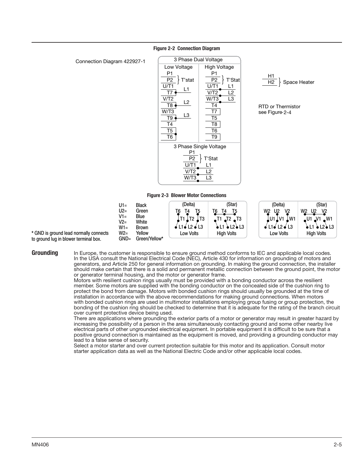#### P1  $P2$ U/T1 T7 V/T2 T8 W/T3 T9 T4 T5  $\overline{7}6$ 'stat L1  $L2$ L3 Low Voltage P1 P2 U/T1 T7 V/T2 T5 W/T3 T8 T6 T9 T'Stat L1 L2 L3 High Voltage T4 3 Phase Dual Voltage 3 Phase Single Voltage P1  $\overline{P2}$  $U/T$ V/T2 W/T3 T'Stat L1 L2 L3

Figure 2-2 Connection Diagram

Connection Diagram 422927-1



 $H2 \rightarrow$  Space Heater

H1

#### Figure 2-3 Blower Motor Connections



\* GND is ground lead normally connects to ground lug in blower terminal box.

Grounding In Europe, the customer is responsible to ensure ground method conforms to IEC and applicable local codes. In the USA consult the National Electrical Code (NEC), Article 430 for information on grounding of motors and generators, and Article 250 for general information on grounding. In making the ground connection, the installer should make certain that there is a solid and permanent metallic connection between the ground point, the motor or generator terminal housing, and the motor or generator frame.

Motors with resilient cushion rings usually must be provided with a bonding conductor across the resilient member. Some motors are supplied with the bonding conductor on the concealed side of the cushion ring to protect the bond from damage. Motors with bonded cushion rings should usually be grounded at the time of installation in accordance with the above recommendations for making ground connections. When motors with bonded cushion rings are used in multimotor installations employing group fusing or group protection, the bonding of the cushion ring should be checked to determine that it is adequate for the rating of the branch circuit over current protective device being used.

There are applications where grounding the exterior parts of a motor or generator may result in greater hazard by increasing the possibility of a person in the area simultaneously contacting ground and some other nearby live electrical parts of other ungrounded electrical equipment. In portable equipment it is difficult to be sure that a positive ground connection is maintained as the equipment is moved, and providing a grounding conductor may lead to a false sense of security.

Select a motor starter and over current protection suitable for this motor and its application. Consult motor starter application data as well as the National Electric Code and/or other applicable local codes.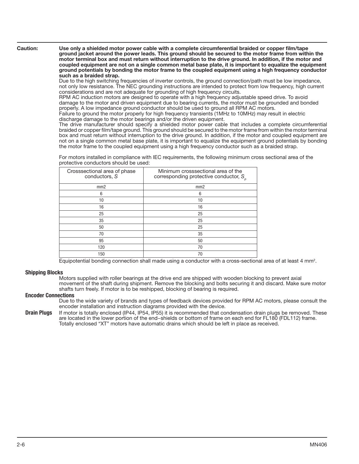Caution: Use only a shielded motor power cable with a complete circumferential braided or copper film/tape ground jacket around the power leads. This ground should be secured to the motor frame from within the motor terminal box and must return without interruption to the drive ground. In addition, if the motor and coupled equipment are not on a single common metal base plate, it is important to equalize the equipment ground potentials by bonding the motor frame to the coupled equipment using a high frequency conductor such as a braided strap.

Due to the high switching frequencies of inverter controls, the ground connection/path must be low impedance, not only low resistance. The NEC grounding instructions are intended to protect from low frequency, high current considerations and are not adequate for grounding of high frequency circuits.

RPM AC induction motors are designed to operate with a high frequency adjustable speed drive. To avoid damage to the motor and driven equipment due to bearing currents, the motor must be grounded and bonded properly. A low impedance ground conductor should be used to ground all RPM AC motors.

Failure to ground the motor properly for high frequency transients (1MHz to 10MHz) may result in electric discharge damage to the motor bearings and/or the driven equipment.

The drive manufacturer should specify a shielded motor power cable that includes a complete circumferential braided or copper film/tape ground. This ground should be secured to the motor frame from within the motor terminal box and must return without interruption to the drive ground. In addition, if the motor and coupled equipment are not on a single common metal base plate, it is important to equalize the equipment ground potentials by bonding the motor frame to the coupled equipment using a high frequency conductor such as a braided strap.

For motors installed in compliance with IEC requirements, the following minimum cross sectional area of the protective conductors should be used:

| Crosssectional area of phase<br>conductors, S | Minimum crosssectional area of the<br>corresponding protective conductor, $S_{n}$ |
|-----------------------------------------------|-----------------------------------------------------------------------------------|
| mm2                                           | mm2                                                                               |
| 6                                             | 6                                                                                 |
| 10                                            | 10                                                                                |
| 16                                            | 16                                                                                |
| 25                                            | 25                                                                                |
| 35                                            | 25                                                                                |
| 50                                            | 25                                                                                |
| 70                                            | 35                                                                                |
| 95                                            | 50                                                                                |
| 120                                           | 70                                                                                |
| 150                                           | 70                                                                                |

Equipotential bonding connection shall made using a conductor with a cross-sectional area of at least 4 mm<sup>2</sup>.

### Shipping Blocks

Motors supplied with roller bearings at the drive end are shipped with wooden blocking to prevent axial movement of the shaft during shipment. Remove the blocking and bolts securing it and discard. Make sure motor shafts turn freely. If motor is to be reshipped, blocking of bearing is required.

### Encoder Connections

Due to the wide variety of brands and types of feedback devices provided for RPM AC motors, please consult the encoder installation and instruction diagrams provided with the device.

Drain Plugs If motor is totally enclosed (IP44, IP54, IP55) it is recommended that condensation drain plugs be removed. These are located in the lower portion of the end−shields or bottom of frame on each end for FL180 (FDL112) frame. Totally enclosed "XT" motors have automatic drains which should be left in place as received.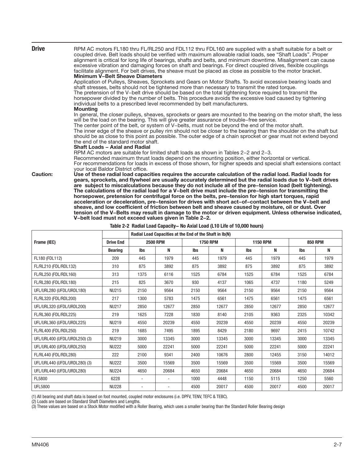| <b>Drive</b>    | RPM AC motors FL180 thru FL/RL250 and FDL112 thru FDL160 are supplied with a shaft suitable for a belt or<br>coupled drive. Belt loads should be verified with maximum allowable radial loads, see "Shaft Loads". Proper<br>alignment is critical for long life of bearings, shafts and belts, and minimum downtime. Misalignment can cause<br>excessive vibration and damaging forces on shaft and bearings. For direct coupled drives, flexible couplings<br>facilitate alignment. For belt drives, the sheave must be placed as close as possible to the motor bracket.<br><b>Minimum V-Belt Sheave Diameters</b><br>Application of Pulleys, Sheaves, Sprockets and Gears on Motor Shafts. To avoid excessive bearing loads and<br>shaft stresses, belts should not be tightened more than necessary to transmit the rated torque.<br>The pretension of the V-belt drive should be based on the total tightening force required to transmit the<br>horsepower divided by the number of belts. This procedure avoids the excessive load caused by tightening<br>individual belts to a prescribed level recommended by belt manufacturers. |
|-----------------|---------------------------------------------------------------------------------------------------------------------------------------------------------------------------------------------------------------------------------------------------------------------------------------------------------------------------------------------------------------------------------------------------------------------------------------------------------------------------------------------------------------------------------------------------------------------------------------------------------------------------------------------------------------------------------------------------------------------------------------------------------------------------------------------------------------------------------------------------------------------------------------------------------------------------------------------------------------------------------------------------------------------------------------------------------------------------------------------------------------------------------------------|
|                 | <b>Mounting</b><br>In general, the closer pulleys, sheaves, sprockets or gears are mounted to the bearing on the motor shaft, the less<br>will be the load on the bearing. This will give greater assurance of trouble–free service.<br>The center point of the belt, or system of V-belts, must not be beyond the end of the motor shaft.<br>The inner edge of the sheave or pulley rim should not be closer to the bearing than the shoulder on the shaft but<br>should be as close to this point as possible. The outer edge of a chain sprocket or gear must not extend beyond<br>the end of the standard motor shaft.<br><b>Shaft Loads - Axial and Radial</b><br>RPM AC motors are suitable for limited shaft loads as shown in Tables 2–2 and 2–3.                                                                                                                                                                                                                                                                                                                                                                                   |
| <b>Caution:</b> | Recommended maximum thrust loads depend on the mounting position, either horizontal or vertical.<br>For recommendations for loads in excess of those shown, for higher speeds and special shaft extensions contact<br>your local Baldor District office.<br>Use of these radial load capacities requires the accurate calculation of the radial load. Radial loads for                                                                                                                                                                                                                                                                                                                                                                                                                                                                                                                                                                                                                                                                                                                                                                      |
|                 | gears, sprockets, and flywheel are usually accurately determined but the radial loads due to V-belt drives<br>are subject to miscalculations because they do not include all of the pre-tension load (belt tightening).<br>The calculations of the radial load for a V-belt drive must include the pre-tension for transmitting the<br>horsepower, pretension for centrifugal force on the belts, pre-tension for high start torques, rapid<br>acceleration or deceleration, pre-tension for drives with short act-of-contact between the V-belt and<br>sheave, and low coefficient of friction between belt and sheave caused by moisture, oil or dust. Over<br>tension of the V-Belts may result in damage to the motor or driven equipment. Unless otherwise indicated,<br>V-belt load must not exceed values given in Table 2-2.<br>Toble 2.2. Podial Load Consolity - No Avial Load (L10 Life of 10,000 bours)                                                                                                                                                                                                                         |

|                               |                  |                          | Radial Load Capacities at the End of the Shaft in Ib(N) |      |                 |      |                 |                |       |  |
|-------------------------------|------------------|--------------------------|---------------------------------------------------------|------|-----------------|------|-----------------|----------------|-------|--|
| Frame (IEC)                   | <b>Drive End</b> |                          | <b>2500 RPM</b>                                         |      | <b>1750 RPM</b> |      | <b>1150 RPM</b> | <b>850 RPM</b> |       |  |
|                               | <b>Bearing</b>   | <b>Ibs</b>               | N                                                       | lbs  | N               | lbs  | N               | lbs            | N     |  |
| FL180 (FDL112)                | 209              | 445                      | 1979                                                    | 445  | 1979            | 445  | 1979            | 445            | 1979  |  |
| FL/RL210 (FDL/RDL132)         | 310              | 875                      | 3892                                                    | 875  | 3892            | 875  | 3892            | 875            | 3892  |  |
| FL/RL250 (FDL/RDL160)         | 313              | 1375                     | 6116                                                    | 1525 | 6784            | 1525 | 6784            | 1525           | 6784  |  |
| FL/RL280 (FDL/RDL180)         | 215              | 825                      | 3670                                                    | 930  | 4137            | 1065 | 4737            | 1180           | 5249  |  |
| UFL/URL280 (UFDL/URDL180)     | <b>NU215</b>     | 2150                     | 9564                                                    | 2150 | 9564            | 2150 | 9564            | 2150           | 9564  |  |
| FL/RL320 (FDL/RDL200)         | 217              | 1300                     | 5783                                                    | 1475 | 6561            | 1475 | 6561            | 1475           | 6561  |  |
| UFL/URL320 (UFDL/URDL200)     | <b>NU217</b>     | 2850                     | 12677                                                   | 2850 | 12677           | 2850 | 12677           | 2850           | 12677 |  |
| FL/RL360 (FDL/RDL225)         | 219              | 1625                     | 7228                                                    | 1830 | 8140            | 2105 | 9363            | 2325           | 10342 |  |
| UFL/URL360 (UFDL/URDL225)     | <b>NU219</b>     | 4550                     | 20239                                                   | 4550 | 20239           | 4550 | 20239           | 4550           | 20239 |  |
| FL/RL400 (FDL/RDL250)         | 219              | 1685                     | 7495                                                    | 1895 | 8429            | 2180 | 9697            | 2415           | 10742 |  |
| UFL/URL400 (UFDL/URDL250) (3) | <b>NU219</b>     | 3000                     | 13345                                                   | 3000 | 13345           | 3000 | 13345           | 3000           | 13345 |  |
| UFL/URL400 (UFDL/URDL250)     | <b>NU222</b>     | 5000                     | 22241                                                   | 5000 | 22241           | 5000 | 22241           | 5000           | 22241 |  |
| FL/RL440 (FDL/RDL280)         | 222              | 2100                     | 9341                                                    | 2400 | 10676           | 2800 | 12455           | 3150           | 14012 |  |
| UFL/URL440 (UFDL/URDL280) (3) | <b>NU222</b>     | 3500                     | 15569                                                   | 3500 | 15569           | 3500 | 15569           | 3500           | 15569 |  |
| UFL/URL440 (UFDL/URDL280)     | <b>NU224</b>     | 4650                     | 20684                                                   | 4650 | 20684           | 4650 | 20684           | 4650           | 20684 |  |
| FL5800                        | 6228             | ٠                        | $\overline{\phantom{a}}$                                | 1000 | 4448            | 1150 | 5115            | 1250           | 5560  |  |
| <b>UFL5800</b>                | <b>NU228</b>     | $\overline{\phantom{a}}$ |                                                         | 4500 | 20017           | 4500 | 20017           | 4500           | 20017 |  |

|  | Table 2-2 Radial Load Capacity- No Axial Load (L10 Life of 10,000 hours) |  |
|--|--------------------------------------------------------------------------|--|
|  |                                                                          |  |

(1) All bearing and shaft data is based on foot mounted, coupled motor enclosures (i.e. DPFV, TENV, TEFC & TEBC).

(2) Loads are based on Standard Shaft Diameters and Lengths.

(3) These values are based on a Stock Motor modified with a Roller Bearing, which uses a smaller bearing than the Standard Roller Bearing design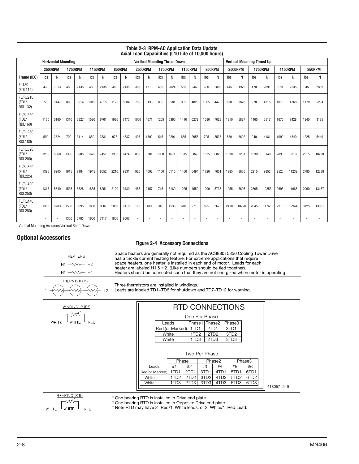|                                            | <b>Horizontal Mounting</b> |                |      |                |      |                |               |      |                | <b>Vertical Mounting Thrust Down</b> |      |                |                |      |      |               |      | <b>Vertical Mounting Thrust Up</b> |      |                |      |                |      |        |
|--------------------------------------------|----------------------------|----------------|------|----------------|------|----------------|---------------|------|----------------|--------------------------------------|------|----------------|----------------|------|------|---------------|------|------------------------------------|------|----------------|------|----------------|------|--------|
|                                            |                            | <b>2500RPM</b> |      | <b>1750RPM</b> |      | <b>1150RPM</b> | <b>850RPM</b> |      | <b>2500RPM</b> |                                      |      | <b>1750RPM</b> | <b>1150RPM</b> |      |      | <b>850RPM</b> |      | <b>2500RPM</b>                     |      | <b>1750RPM</b> |      | <b>1150RPM</b> |      | 850RPM |
| Frame (IEC)                                | Ibs                        | N              | Ibs  | Ν              | Ibs  | N              | Ibs           | N    | Ibs            | Ν                                    | Ibs  | N              | Ibs            | N    | Ibs  | N             | Ibs  | Ν                                  | Ibs  | N              | Ibs  | N              | Ibs  | Ν      |
| FL180<br>(FDL112)                          | 430                        | 1913           | 480  | 2135           | 480  | 2135           | 480           | 2135 | 385            | 1713                                 | 455  | 2024           | 555            | 2469 | 630  | 2802          | 445  | 1979                               | 470  | 2091           | 570  | 2535           | 645  | 2869   |
| <b>FL/RL210</b><br>(FDL/<br>RDL132)        | 775                        | 3447           | 880  | 3914           | 1015 | 4515           | 1125          | 5004 | 705            | 3136                                 | 805  | 3581           | 905            | 4026 | 1005 | 4470          | 870  | 3870                               | 970  | 4315           | 1070 | 4760           | 1170 | 5204   |
| <b>FL/RL250</b><br>(FDL/<br>RDL160)        | 1160                       | 5160           | 1310 | 5827           | 1520 | 6761           | 1680          | 7473 | 1050           | 4671                                 | 1205 | 5360           | 1410           | 6272 | 1580 | 7028          | 1310 | 5827                               | 1465 | 6517           | 1670 | 7428           | 1840 | 8185   |
| <b>FL/RL280</b><br>(FDL/<br>RDL180)        | 590                        | 2624           | 700  | 3114           | 850  | 3781           | 975           | 4337 | 405            | 1802                                 | 515  | 2291           | 665            | 2958 | 795  | 3536          | 830  | 3692                               | 940  | 4181           | 1090 | 4849           | 1225 | 5449   |
| <b>FL/RL320</b><br>(FDL/<br>RDL200)        | 1205                       | 5360           | 1395 | 6205           | 1675 | 7451           | 1905          | 8474 | 850            | 3781                                 | 1050 | 4671           | 1315           | 5849 | 1535 | 6828          | 1630 | 7251                               | 1830 | 8140           | 2095 | 9319           | 2315 | 10298  |
| <b>FL/RL360</b><br>(FDL/<br><b>RDL225)</b> | 1395                       | 6205           | 1615 | 7184           | 1945 | 8652           | 2210          | 9831 | 920            | 4092                                 | 1150 | 5115           | 1460           | 6494 | 1720 | 7651          | 1985 | 8830                               | 2215 | 9853           | 2525 | 11232          | 2785 | 12388  |
| <b>FL/RL400</b><br>(FDL/<br>RDL250)        | 1315                       | 5849           | 1535 | 6828           | 1855 | 8251           | 2120          | 9430 | 485            | 2157                                 | 715  | 3180           | 1025           | 4559 | 1290 | 5738          | 1955 | 8696                               | 2305 | 10253          | 2695 | 11988          | 2960 | 13167  |
| <b>FL/RL440</b><br>(FDL/<br>RDL280)        | 1300                       | 5783           | 1550 | 6895           | 1800 | 8007           | 2050          | 9119 | 110            | 489                                  | 345  | 1535           | 610            | 2713 | 825  | 3670          | 2410 | 10720                              | 2645 | 11765          | 2910 | 12944          | 3125 | 13901  |
|                                            |                            |                | 1300 | 5783           | 1600 | 7117           | 1800          | 8007 |                |                                      |      |                |                |      |      |               |      |                                    |      | ٠              |      |                |      |        |

## Table 2-3 RPM-AC Application Data Update Axial Load Capabilities (L10 Life of 10,000 hours)

Vertical Mounting Assumes Vertical Shaft Down.

# Optional Accessories

# Figure 2-4 Accessory Connections

Space heaters are generally not required as the ACS880+5350 Cooling Tower Drive has a trickle current heating feature. For extreme applications that require space heaters, one heater is installed in each end of motor. Leads for each heater are labeled H1 & H2. (Like numbers should be tied together). Heaters should be connected such that they are not energized when motor is operating



W.

.<br>W

 $T2$ 

**HEATERS** 

Three thermistors are installed in windings.

Leads are labeled TD1−TD6 for shutdown and TD7−TD12 for warning.

| WINDING RTDS                               | <b>RTD CONNECTIONS</b>                                |                  |                  |                  |                  |                  |                  |            |
|--------------------------------------------|-------------------------------------------------------|------------------|------------------|------------------|------------------|------------------|------------------|------------|
| MК                                         |                                                       | One Per Phase    |                  |                  |                  |                  |                  |            |
| <b>RED</b><br><b>WHITE</b><br><b>WHITE</b> | Phase3<br>Phase1   Phase2<br>Leads                    |                  |                  |                  |                  |                  |                  |            |
|                                            |                                                       | Red (or Marked)  | 1TD1             | 2TD1             |                  | 3TD <sub>1</sub> |                  |            |
|                                            |                                                       | White            | 1TD <sub>2</sub> | 2TD <sub>2</sub> |                  | 3TD <sub>2</sub> |                  |            |
|                                            | White<br>1TD <sub>3</sub><br>2TD3<br>3TD <sub>3</sub> |                  |                  |                  |                  |                  |                  |            |
|                                            |                                                       |                  |                  |                  |                  |                  |                  |            |
|                                            | Two Per Phase                                         |                  |                  |                  |                  |                  |                  |            |
|                                            | Phase1<br>Phase3<br>Phase2                            |                  |                  |                  |                  |                  |                  |            |
|                                            | Leads                                                 | #1               | #2               | #3               | #4               | #5               | #6               |            |
|                                            | Red(or Marked)                                        | 1TD1             | 2TD1             | 3TD1             | 4TD1             | 5TD1             | 6TD1             |            |
|                                            | White                                                 | 1TD <sub>2</sub> | 2TD <sub>2</sub> | 3TD <sub>2</sub> | 4TD <sub>2</sub> | 5TD <sub>2</sub> | 6TD <sub>2</sub> |            |
|                                            | White                                                 | 1TD3             | 2TD <sub>3</sub> | 3TD <sub>3</sub> | 4TD3             | 5TD <sub>3</sub> | 6TD3             | 418057-549 |
|                                            |                                                       |                  |                  |                  |                  |                  |                  |            |
| BEARING RTD                                | * One bearing RTD is installed in Drive end plate     |                  |                  |                  |                  |                  |                  |            |



**RFD** 

\* One bearing RTD is installed in Drive end plate.

\* One bearing RTD is installed in Opposite Drive end plate.

\* Note RTD may have 2−Red/1−White leads; or 2−White/1−Red Lead.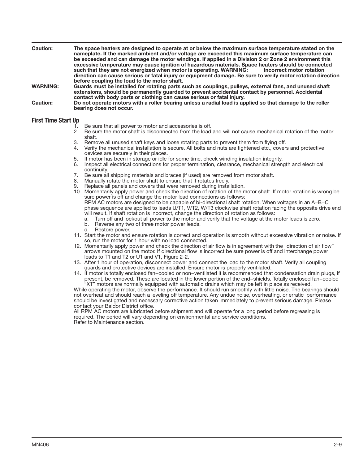| <b>Caution:</b> | The space heaters are designed to operate at or below the maximum surface temperature stated on the<br>nameplate. If the marked ambient and/or voltage are exceeded this maximum surface temperature can<br>be exceeded and can damage the motor windings. If applied in a Division 2 or Zone 2 environment this<br>excessive temperature may cause ignition of hazardous materials. Space heaters should be connected<br>such that they are not energized when motor is operating. WARNING:<br>Incorrect motor rotation<br>direction can cause serious or fatal injury or equipment damage. Be sure to verify motor rotation direction<br>before coupling the load to the motor shaft. |
|-----------------|-----------------------------------------------------------------------------------------------------------------------------------------------------------------------------------------------------------------------------------------------------------------------------------------------------------------------------------------------------------------------------------------------------------------------------------------------------------------------------------------------------------------------------------------------------------------------------------------------------------------------------------------------------------------------------------------|
| <b>WARNING:</b> | Guards must be installed for rotating parts such as couplings, pulleys, external fans, and unused shaft<br>extensions, should be permanently guarded to prevent accidental contact by personnel. Accidental<br>contact with body parts or clothing can cause serious or fatal injury.                                                                                                                                                                                                                                                                                                                                                                                                   |
| Caution:        | Do not operate motors with a roller bearing unless a radial load is applied so that damage to the roller<br>bearing does not occur.                                                                                                                                                                                                                                                                                                                                                                                                                                                                                                                                                     |

# First Time Start Up

- 
- 1. Be sure that all power to motor and accessories is off.<br>2. Be sure the motor shaft is disconnected from the load 2. Be sure the motor shaft is disconnected from the load and will not cause mechanical rotation of the motor shaft.
- 3. Remove all unused shaft keys and loose rotating parts to prevent them from flying off.
- 4. Verify the mechanical installation is secure. All bolts and nuts are tightened etc., covers and protective devices are securely in their places.
- 5. If motor has been in storage or idle for some time, check winding insulation integrity.
- Inspect all electrical connections for proper termination, clearance, mechanical strength and electrical continuity.
- 7. Be sure all shipping materials and braces (if used) are removed from motor shaft.<br>8. Manually rotate the motor shaft to ensure that it rotates freely.
- Manually rotate the motor shaft to ensure that it rotates freely.
- 9. Replace all panels and covers that were removed during installation.
- 10. Momentarily apply power and check the direction of rotation of the motor shaft. If motor rotation is wrong be sure power is off and change the motor lead connections as follows:

RPM AC motors are designed to be capable of bi-directional shaft rotation. When voltages in an A−B−C phase sequence are applied to leads U/T1, V/T2, W/T3 clockwise shaft rotation facing the opposite drive end will result. If shaft rotation is incorrect, change the direction of rotation as follows:

- a. Turn off and lockout all power to the motor and verify that the voltage at the motor leads is zero.
- b. Reverse any two of three motor power leads.
- c. Restore power.
- 11. Start the motor and ensure rotation is correct and operation is smooth without excessive vibration or noise. If so, run the motor for 1 hour with no load connected.
- 12. Momentarily apply power and check the direction of air flow is in agreement with the "direction of air flow" arrows mounted on the motor. If directional flow is incorrect be sure power is off and interchange power leads to T1 and T2 or U1 and V1, Figure 2-2.
- 13. After 1 hour of operation, disconnect power and connect the load to the motor shaft. Verify all coupling guards and protective devices are installed. Ensure motor is properly ventilated.
- 14. If motor is totally enclosed fan−cooled or non−ventilated it is recommended that condensation drain plugs, if present, be removed. These are located in the lower portion of the end−shields. Totally enclosed fan−cooled "XT" motors are normally equipped with automatic drains which may be left in place as received.

While operating the motor, observe the performance. It should run smoothly with little noise. The bearings should not overheat and should reach a leveling off temperature. Any undue noise, overheating, or erratic performance should be investigated and necessary corrective action taken immediately to prevent serious damage. Please contact your Baldor District office.

All RPM AC motors are lubricated before shipment and will operate for a long period before regreasing is required. The period will vary depending on environmental and service conditions. Refer to Maintenance section.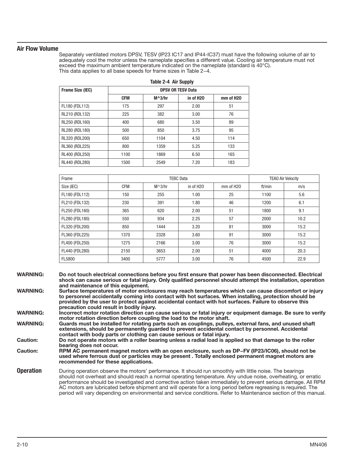# Air Flow Volume

Separately ventilated motors DPSV, TESV (IP23 IC17 and IP44-IC37) must have the following volume of air to adequately cool the motor unless the nameplate specifies a different value. Cooling air temperature must not exceed the maximum ambient temperature indicated on the nameplate (standard is 40°C). This data applies to all base speeds for frame sizes in Table 2−4.

|                  | lable 2-4 Air Supply |                          |           |           |  |  |
|------------------|----------------------|--------------------------|-----------|-----------|--|--|
| Frame Size (IEC) |                      | <b>DPSV OR TESV Data</b> |           |           |  |  |
|                  | <b>CFM</b>           | $M^3/hr$                 | in of H2O | mm of H2O |  |  |
| FL180 (FDL112)   | 175                  | 297                      | 2.00      | 51        |  |  |
| RL210 (RDL132)   | 225                  | 382                      | 3.00      | 76        |  |  |
| RL250 (RDL160)   | 400                  | 680                      | 3.50      | 89        |  |  |
| RL280 (RDL180)   | 500                  | 850                      | 3.75      | 95        |  |  |
| RL320 (RDL200)   | 650                  | 1104                     | 4.50      | 114       |  |  |
| RL360 (RDL225)   | 800                  | 1359                     | 5.25      | 133       |  |  |
| RL400 (RDL250)   | 1100                 | 1869                     | 6.50      | 165       |  |  |
| RL440 (RDL280)   | 1500                 | 2549                     | 7.20      | 183       |  |  |

 $T$  .  $T$   $T$   $T$   $T$   $T$   $T$ 

| Frame          | <b>TEBC Data</b> |          |                       |                       | <b>TEAO Air Velocity</b> |      |
|----------------|------------------|----------|-----------------------|-----------------------|--------------------------|------|
| Size (IEC)     | <b>CFM</b>       | $M^3/hr$ | in of H <sub>20</sub> | mm of H <sub>20</sub> | ft/min                   | m/s  |
| FL180 (FDL112) | 150              | 255      | 1.00                  | 25                    | 1100                     | 5.6  |
| FL210 (FDL132) | 230              | 391      | 1.80                  | 46                    | 1200                     | 6.1  |
| FL250 (FDL160) | 365              | 620      | 2.00                  | 51                    | 1800                     | 9.1  |
| FL280 (FDL180) | 550              | 934      | 2.25                  | 57                    | 2000                     | 10.2 |
| FL320 (FDL200) | 850              | 1444     | 3.20                  | 81                    | 3000                     | 15.2 |
| FL360 (FDL225) | 1370             | 2328     | 3.60                  | 91                    | 3000                     | 15.2 |
| FL400 (FDL250) | 1275             | 2166     | 3.00                  | 76                    | 3000                     | 15.2 |
| FL440 (FDL280) | 2150             | 3653     | 2.00                  | 51                    | 4000                     | 20.3 |
| FL5800         | 3400             | 5777     | 3.00                  | 76                    | 4500                     | 22.9 |

| <b>WARNING:</b> | Do not touch electrical connections before you first ensure that power has been disconnected. Electrical     |
|-----------------|--------------------------------------------------------------------------------------------------------------|
|                 | shock can cause serious or fatal injury. Only qualified personnel should attempt the installation, operation |
|                 | and maintenance of this equipment.                                                                           |

WARNING: Surface temperatures of motor enclosures may reach temperatures which can cause discomfort or injury to personnel accidentally coming into contact with hot surfaces. When installing, protection should be provided by the user to protect against accidental contact with hot surfaces. Failure to observe this precaution could result in bodily injury.

WARNING: Incorrect motor rotation direction can cause serious or fatal injury or equipment damage. Be sure to verify motor rotation direction before coupling the load to the motor shaft.

WARNING: Guards must be installed for rotating parts such as couplings, pulleys, external fans, and unused shaft extensions, should be permanently guarded to prevent accidental contact by personnel. Accidental contact with body parts or clothing can cause serious or fatal injury.

Caution: Do not operate motors with a roller bearing unless a radial load is applied so that damage to the roller bearing does not occur.

Caution: RPM AC permanent magnet motors with an open enclosure, such as DP−FV (IP23/IC06), should not be used where ferrous dust or particles may be present . Totally enclosed permanent magnet motors are recommended for these applications.

**Operation** During operation observe the motors' performance. It should run smoothly with little noise. The bearings should not overheat and should reach a normal operating temperature. Any undue noise, overheating, or erratic performance should be investigated and corrective action taken immediately to prevent serious damage. All RPM AC motors are lubricated before shipment and will operate for a long period before regreasing is required. The period will vary depending on environmental and service conditions. Refer to Maintenance section of this manual.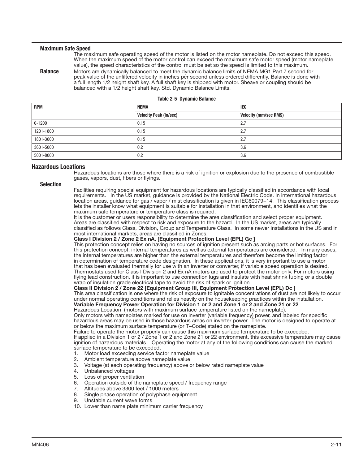#### Maximum Safe Speed

The maximum safe operating speed of the motor is listed on the motor nameplate. Do not exceed this speed. When the maximum speed of the motor control can exceed the maximum safe motor speed (motor nameplate value), the speed characteristics of the control must be set so the speed is limited to this maximum.

**Balance** Motors are dynamically balanced to meet the dynamic balance limits of NEMA MG1 Part 7 second for peak value of the unfiltered velocity in inches per second unless ordered differently. Balance is done with a full length 1/2 height shaft key. A full shaft key is shipped with motor. Sheave or coupling should be balanced with a 1/2 height shaft key. Std. Dynamic Balance Limits.

|  |  | Table 2-5 Dynamic Balance |  |
|--|--|---------------------------|--|
|--|--|---------------------------|--|

| <b>RPM</b> | <b>NEMA</b>                   | IEC                          |
|------------|-------------------------------|------------------------------|
|            |                               |                              |
|            | <b>Velocity Peak (in/sec)</b> | <b>Velocity (mm/sec RMS)</b> |
| $0 - 1200$ | 0.15                          | 2.7                          |
| 1201-1800  | 0.15                          | 2.7                          |
| 1801-3600  | 0.15                          | 2.7                          |
| 3601-5000  | 0.2                           | 3.6                          |
| 5001-8000  | 0.2                           | 3.6                          |

### Hazardous Locations

Hazardous locations are those where there is a risk of ignition or explosion due to the presence of combustible gases, vapors, dust, fibers or flyings.

#### Selection

Facilities requiring special equipment for hazardous locations are typically classified in accordance with local requirements. In the US market, guidance is provided by the National Electric Code. In international hazardous location areas, guidance for gas / vapor / mist classification is given in IEC60079−14. This classification process lets the installer know what equipment is suitable for installation in that environment, and identifies what the maximum safe temperature or temperature class is required.

It is the customer or users responsibility to determine the area classification and select proper equipment. Areas are classified with respect to risk and exposure to the hazard. In the US market, areas are typically classified as follows Class, Division, Group and Temperature Class. In some newer installations in the US and in most international markets, areas are classified in Zones.

## Class I Division 2 / Zone 2 Ex nA, [Equipment Protection Level (EPL) Gc ]

This protection concept relies on having no sources of ignition present such as arcing parts or hot surfaces. For this protection concept, internal temperatures as well as external temperatures are considered. In many cases, the internal temperatures are higher than the external temperatures and therefore become the limiting factor in determination of temperature code designation. In these applications, it is very important to use a motor that has been evaluated thermally for use with an inverter or converter, if variable speed operation is desired. Thermostats used for Class I Division 2 and Ex nA motors are used to protect the motor only. For motors using flying lead construction, it is important to use connection lugs and insulate with heat shrink tubing or a double wrap of insulation grade electrical tape to avoid the risk of spark or ignition.

#### Class II Division 2 / Zone 22 [Equipment Group III, Equipment Protection Level (EPL) Dc ]

This area classification is one where the risk of exposure to ignitable concentrations of dust are not likely to occur under normal operating conditions and relies heavily on the housekeeping practices within the installation. Variable Frequency Power Operation for Division 1 or 2 and Zone 1 or 2 and Zone 21 or 22

Hazardous Location (motors with maximum surface temperature listed on the nameplate).

Only motors with nameplates marked for use on inverter (variable frequency) power, and labeled for specific hazardous areas may be used in those hazardous areas on inverter power. The motor is designed to operate at or below the maximum surface temperature (or T−Code) stated on the nameplate.

Failure to operate the motor properly can cause this maximum surface temperature to be exceeded. If applied in a Division 1 or 2 / Zone 1 or 2 and Zone 21 or 22 environment, this excessive temperature may cause ignition of hazardous materials. Operating the motor at any of the following conditions can cause the marked surface temperature to be exceeded.

- 1. Motor load exceeding service factor nameplate value
- 2. Ambient temperature above nameplate value<br>3. Voltage (at each operating frequency) above o
- 3. Voltage (at each operating frequency) above or below rated nameplate value
- 4. Unbalanced voltages
- 5. Loss of proper ventilation<br>6. Operation outside of the n
- 6. Operation outside of the nameplate speed / frequency range
- 7. Altitudes above 3300 feet / 1000 meters
- 8. Single phase operation of polyphase equipment
- 9. Unstable current wave forms
- 10. Lower than name plate minimum carrier frequency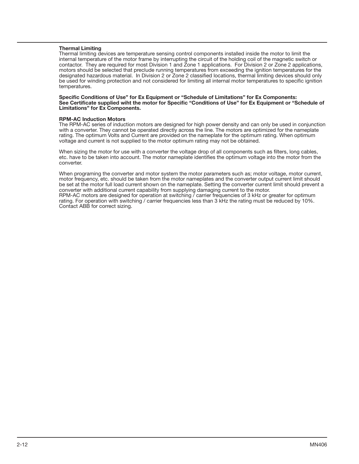## Thermal Limiting

Thermal limiting devices are temperature sensing control components installed inside the motor to limit the internal temperature of the motor frame by interrupting the circuit of the holding coil of the magnetic switch or contactor. They are required for most Division 1 and Zone 1 applications. For Division 2 or Zone 2 applications, motors should be selected that preclude running temperatures from exceeding the ignition temperatures for the designated hazardous material. In Division 2 or Zone 2 classified locations, thermal limiting devices should only be used for winding protection and not considered for limiting all internal motor temperatures to specific ignition temperatures.

#### Specific Conditions of Use" for Ex Equipment or "Schedule of Limitations" for Ex Components: See Certificate supplied wiht the motor for Specific "Conditions of Use" for Ex Equipment or "Schedule of Limitations" for Ex Components.

#### RPM-AC Induction Motors

The RPM-AC series of induction motors are designed for high power density and can only be used in conjunction with a converter. They cannot be operated directly across the line. The motors are optimized for the nameplate rating. The optimum Volts and Current are provided on the nameplate for the optimum rating. When optimum voltage and current is not supplied to the motor optimum rating may not be obtained.

When sizing the motor for use with a converter the voltage drop of all components such as filters, long cables, etc. have to be taken into account. The motor nameplate identifies the optimum voltage into the motor from the converter.

When programing the converter and motor system the motor parameters such as; motor voltage, motor current, motor frequency, etc. should be taken from the motor nameplates and the converter output current limit should be set at the motor full load current shown on the nameplate. Setting the converter current limit should prevent a converter with additional current capability from supplying damaging current to the motor. RPM-AC motors are designed for operation at switching / carrier frequencies of 3 kHz or greater for optimum rating. For operation with switching / carrier frequencies less than 3 kHz the rating must be reduced by 10%. Contact ABB for correct sizing.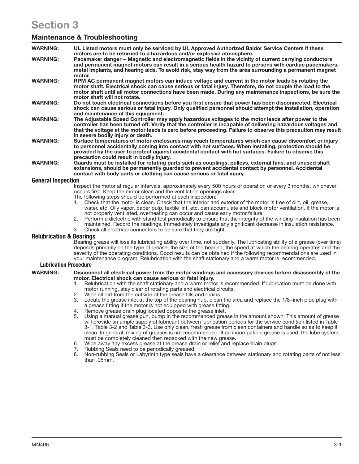# Section 3

# Maintenance & Troubleshooting

| <b>WARNING:</b>           | UL Listed motors must only be serviced by UL Approved Authorized Baldor Service Centers if these<br>motors are to be returned to a hazardous and/or explosive atmosphere.                                                                                                                                                                                               |
|---------------------------|-------------------------------------------------------------------------------------------------------------------------------------------------------------------------------------------------------------------------------------------------------------------------------------------------------------------------------------------------------------------------|
| <b>WARNING:</b>           | Pacemaker danger – Magnetic and electromagnetic fields in the vicinity of current carrying conductors<br>and permanent magnet motors can result in a serious health hazard to persons with cardiac pacemakers,<br>metal implants, and hearing aids. To avoid risk, stay way from the area surrounding a permanent magnet<br>motor.                                      |
| <b>WARNING:</b>           | RPM AC permanent magnet motors can induce voltage and current in the motor leads by rotating the<br>motor shaft. Electrical shock can cause serious or fatal injury. Therefore, do not couple the load to the<br>motor shaft until all motor connections have been made. During any maintenance inspections, be sure the<br>motor shaft will not rotate.                |
| <b>WARNING:</b>           | Do not touch electrical connections before you first ensure that power has been disconnected. Electrical<br>shock can cause serious or fatal injury. Only qualified personnel should attempt the installation, operation<br>and maintenance of this equipment.                                                                                                          |
| <b>WARNING:</b>           | The Adjustable Speed Controller may apply hazardous voltages to the motor leads after power to the<br>controller has been turned off. Verify that the controller is incapable of delivering hazardous voltages and<br>that the voltage at the motor leads is zero before proceeding. Failure to observe this precaution may result<br>in severe bodily injury or death. |
| <b>WARNING:</b>           | Surface temperatures of motor enclosures may reach temperatures which can cause discomfort or injury<br>to personnel accidentally coming into contact with hot surfaces. When installing, protection should be<br>provided by the user to protect against accidental contact with hot surfaces. Failure to observe this<br>precaution could result in bodily injury.    |
| <b>WARNING:</b>           | Guards must be installed for rotating parts such as couplings, pulleys, external fans, and unused shaft<br>extensions, should be permanently guarded to prevent accidental contact by personnel. Accidental<br>contact with body parts or clothing can cause serious or fatal injury.                                                                                   |
| <b>General Inspection</b> |                                                                                                                                                                                                                                                                                                                                                                         |
|                           | Less cards on drop drop of the set of the constitution of $\overline{R}$ . In the conditional constant $\overline{R}$ and $\overline{R}$ and $\overline{R}$ and $\overline{R}$ and $\overline{R}$ are continuously to the constant of the constant of the constan                                                                                                       |

Inspect the motor at regular intervals, approximately every 500 hours of operation or every 3 months, whichever occurs first. Keep the motor clean and the ventilation openings clear.

- The following steps should be performed at each inspection:
- 1. Check that the motor is clean. Check that the interior and exterior of the motor is free of dirt, oil, grease, water, etc. Oily vapor, paper pulp, textile lint, etc. can accumulate and block motor ventilation. If the motor is not properly ventilated, overheating can occur and cause early motor failure.
- 2. Perform a dielectric with stand test periodically to ensure that the integrity of the winding insulation has been maintained. Record the readings. Immediately investigate any significant decrease in insulation resistance.
- 3. Check all electrical connectors to be sure that they are tight.

# Relubrication & Bearings

Bearing grease will lose its lubricating ability over time, not suddenly. The lubricating ability of a grease (over time) depends primarily on the type of grease, the size of the bearing, the speed at which the bearing operates and the severity of the operating conditions. Good results can be obtained if the following recommendations are used in your maintenance program. Relubrication with the shaft stationary and a warm motor is recommended.

### Lubrication Procedure

#### WARNING: Disconnect all electrical power from the motor windings and accessory devices before disassembly of the motor. Electrical shock can cause serious or fatal injury.

- 1. Relubrication with the shaft stationary and a warm motor is recommended. If lubrication must be done with motor running, stay clear of rotating parts and electrical circuits.
- 2. Wipe all dirt from the outside of the grease fills and drains.
- Locate the grease inlet at the top of the bearing hub, clean the area and replace the 1/8–inch pipe plug with a grease fitting if the motor is not equipped with grease fitting.
- 4. Remove grease drain plug located opposite the grease inlet.
- 5. Using a manual grease gun, pump in the recommended grease in the amount shown. This amount of grease will provide an ample supply of lubricant between lubrication periods for the service condition listed in Table 3-1, Table 3-2 and Table 3-3. Use only clean, fresh grease from clean containers and handle so as to keep it clean. In general, mixing of greases is not recommended. If an incompatible grease is used, the lube system must be completely cleaned then repacked with the new grease.
- 6. Wipe away any excess grease at the grease drain or relief and replace drain plugs.
- 7. Rubbing Seals need to be periodically greased.
- Non-rubbing Seals or Labyrinth type seals have a clearance between stationary and rotating parts of not less than  $0.5$ mm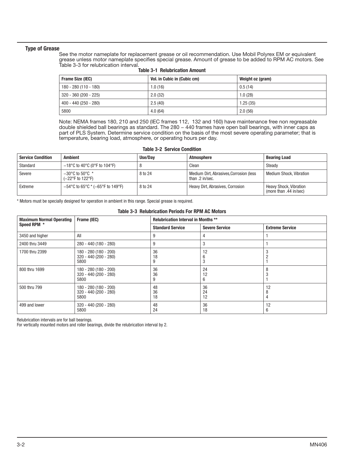#### Type of Grease

See the motor nameplate for replacement grease or oil recommendation. Use Mobil Polyrex EM or equivalent grease unless motor nameplate specifies special grease. Amount of grease to be added to RPM AC motors. See Table 3-3 for relubrication interval.

| Frame Size (IEC)       | Vol. in Cubic in (Cubic cm) | Weight oz (gram) |
|------------------------|-----------------------------|------------------|
| $180 - 280(110 - 180)$ | 1.0(16)                     | 0.5(14)          |
| $320 - 360(200 - 225)$ | 2.0(32)                     | 1.0(28)          |
| $400 - 440(250 - 280)$ | 2.5(40)                     | 1.25(35)         |
| 5800                   | 4.0(64)                     | 2.0(56)          |

### Table 3-1 Relubrication Amount

Note: NEMA frames 180, 210 and 250 (IEC frames 112, 132 and 160) have maintenance free non regreasable double shielded ball bearings as standard. The 280 - 440 frames have open ball bearings, with inner caps as part of PLS System. Determine service condition on the basis of the most severe operating parameter; that is temperature, bearing load, atmosphere, or operating hours per day.

| <b>Table 3-2 Service Condition</b> |                                                                               |         |                                                            |                                                         |  |
|------------------------------------|-------------------------------------------------------------------------------|---------|------------------------------------------------------------|---------------------------------------------------------|--|
| <b>Service Condition</b>           | <b>Ambient</b>                                                                | Use/Dav | Atmosphere                                                 | <b>Bearing Load</b>                                     |  |
| Standard                           | $-18^{\circ}$ C to 40 $^{\circ}$ C (0 $^{\circ}$ F to 104 $^{\circ}$ F)       |         | Clean                                                      | Steady                                                  |  |
| Severe                             | $-30^{\circ}$ C to 50 $^{\circ}$ C *<br>$(-22^{\circ}$ F to 122 $^{\circ}$ F) | 8 to 24 | Medium Dirt, Abrasives, Corrosion (less<br>than .2 in/sec. | <b>Medium Shock, Vibration</b>                          |  |
| Extreme                            | $-54^{\circ}$ C to 65 $^{\circ}$ C * (-65 $^{\circ}$ F to 149 $^{\circ}$ F)   | 8 to 24 | Heavy Dirt, Abrasives, Corrosion                           | <b>Heavy Shock, Vibration</b><br>(more than .44 in/sec) |  |

\* Motors must be specially designed for operation in ambient in this range. Special grease is required.

#### Table 3-3 Relubrication Periods For RPM AC Motors

| <b>Maximum Normal Operating</b> | Frame (IEC)                                             | <b>Relubrication Interval in Months **</b> |                       |                        |  |
|---------------------------------|---------------------------------------------------------|--------------------------------------------|-----------------------|------------------------|--|
| Speed RPM *                     |                                                         | <b>Standard Service</b>                    | <b>Severe Service</b> | <b>Extreme Service</b> |  |
| 3450 and higher                 | All                                                     | 9                                          | 4                     |                        |  |
| 2400 thru 3449                  | $280 - 440(180 - 280)$                                  | g                                          | ٠,                    |                        |  |
| 1700 thru 2399                  | $180 - 280(180 - 200)$<br>320 - 440 (200 - 280)<br>5800 | 36<br>18                                   | 12<br>G.              |                        |  |
| 800 thru 1699                   | 180 - 280 (180 - 200)<br>$320 - 440(200 - 280)$<br>5800 | 36<br>36                                   | 24<br>12<br>n         |                        |  |
| 500 thru 799                    | 180 - 280 (180 - 200)<br>$320 - 440(200 - 280)$<br>5800 | 48<br>36<br>18                             | 36<br>24<br>12        | 12<br>4                |  |
| 499 and lower                   | $320 - 440(200 - 280)$<br>5800                          | 48<br>24                                   | 36<br>18              | 12<br>6                |  |

Relubrication intervals are for ball bearings.

For vertically mounted motors and roller bearings, divide the relubrication interval by 2.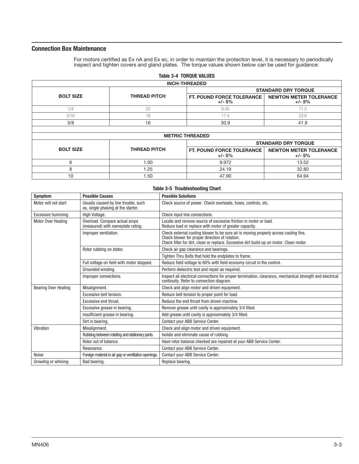# Connection Box Maintenance

For motors certified as Ex nA and Ex ec, in order to maintain the protection level, it is necessary to periodically inspect and tighten covers and gland plates. The torque values shown below can be used for guidance:

|                  |                     | <b>Table 3-4 TORQUE VALUES</b>        |                                           |
|------------------|---------------------|---------------------------------------|-------------------------------------------|
|                  |                     | <b>INCH-THREADED</b>                  |                                           |
|                  |                     |                                       | <b>STANDARD DRY TORQUE</b>                |
| <b>BOLT SIZE</b> | <b>THREAD PITCH</b> | FT. POUND FORCE TOLERANCE<br>$+/- 5%$ | <b>NEWTON METER TOLERANCE</b><br>$+/- 5%$ |
| 1/4              | 20                  | 8.45                                  | 11.5                                      |
| 5/16             | 18                  | 17.4                                  | 23.6                                      |
| 3/8              | 16                  | 30.9                                  | 41.9                                      |
|                  |                     |                                       |                                           |
|                  |                     | <b>METRIC THREADED</b>                |                                           |
|                  |                     |                                       | <b>STANDARD DRY TORQUE</b>                |
| <b>BOLT SIZE</b> | <b>THREAD PITCH</b> | FT. POUND FORCE TOLERANCE<br>$+/- 5%$ | <b>NEWTON METER TOLERANCE</b><br>$+/- 5%$ |
| 6                | 1.00                | 9.972                                 | 13.52                                     |
| 8                | 1.25                | 24.19                                 | 32.80                                     |
| 10               | 1.50                | 47.90                                 | 64.94                                     |

| <b>Symptom</b>              | <b>Possible Causes</b>                                                     | <b>Possible Solutions</b>                                                                                                                                                                                                         |  |  |  |  |  |  |
|-----------------------------|----------------------------------------------------------------------------|-----------------------------------------------------------------------------------------------------------------------------------------------------------------------------------------------------------------------------------|--|--|--|--|--|--|
| Motor will not start        | Usually caused by line trouble, such<br>as, single phasing at the starter. | Check source of power. Check overloads, fuses, controls, etc.                                                                                                                                                                     |  |  |  |  |  |  |
| <b>Excessive humming</b>    | High Voltage.                                                              | Check input line connections.                                                                                                                                                                                                     |  |  |  |  |  |  |
| <b>Motor Over Heating</b>   | Overload. Compare actual amps<br>(measured) with nameplate rating.         | Locate and remove source of excessive friction in motor or load.<br>Reduce load or replace with motor of greater capacity.                                                                                                        |  |  |  |  |  |  |
|                             | Improper ventilation.                                                      | Check external cooling blower to be sure air is moving properly across cooling fins.<br>Check blower for proper direction of rotation.<br>Check filter for dirt, clean or replace. Excessive dirt build-up on motor. Clean motor. |  |  |  |  |  |  |
|                             | Rotor rubbing on stator.                                                   | Check air gap clearance and bearings.                                                                                                                                                                                             |  |  |  |  |  |  |
|                             |                                                                            | Tighten Thru Bolts that hold the endplates to frame.                                                                                                                                                                              |  |  |  |  |  |  |
|                             | Full voltage on field with motor stopped.                                  | Reduce field voltage to 60% with field economy circuit in the control.                                                                                                                                                            |  |  |  |  |  |  |
|                             | Grounded winding.                                                          | Perform dielectric test and repair as required.                                                                                                                                                                                   |  |  |  |  |  |  |
|                             | Improper connections.                                                      | Inspect all electrical connections for proper termination, clearance, mechanical strength and electrical<br>continuity. Refer to connection diagram.                                                                              |  |  |  |  |  |  |
| <b>Bearing Over Heating</b> | Misalignment.                                                              | Check and align motor and driven equipment.                                                                                                                                                                                       |  |  |  |  |  |  |
|                             | Excessive belt tension.                                                    | Reduce belt tension to proper point for load.                                                                                                                                                                                     |  |  |  |  |  |  |
|                             | Excessive end thrust.                                                      | Reduce the end thrust from driven machine.                                                                                                                                                                                        |  |  |  |  |  |  |
|                             | Excessive grease in bearing.                                               | Remove grease until cavity is approximately 3/4 filled.                                                                                                                                                                           |  |  |  |  |  |  |
|                             | Insufficient grease in bearing.                                            | Add grease until cavity is approximately 3/4 filled.                                                                                                                                                                              |  |  |  |  |  |  |
|                             | Dirt in bearing.                                                           | Contact your ABB Service Center.                                                                                                                                                                                                  |  |  |  |  |  |  |
| Vibration                   | Misalignment.                                                              | Check and align motor and driven equipment.                                                                                                                                                                                       |  |  |  |  |  |  |
|                             | Rubbing between rotating and stationary parts.                             | Isolate and eliminate cause of rubbing.                                                                                                                                                                                           |  |  |  |  |  |  |
|                             | Rotor out of balance.                                                      | Have rotor balance checked are repaired at your ABB Service Center.                                                                                                                                                               |  |  |  |  |  |  |
|                             | Resonance.                                                                 | Contact your ABB Service Center.                                                                                                                                                                                                  |  |  |  |  |  |  |
| Noise                       | Foreign material in air gap or ventilation openings.                       | Contact your ABB Service Center.                                                                                                                                                                                                  |  |  |  |  |  |  |
| Growling or whining         | Bad bearing.                                                               | Replace bearing.                                                                                                                                                                                                                  |  |  |  |  |  |  |

#### Table 3-5 Troubleshooting Chart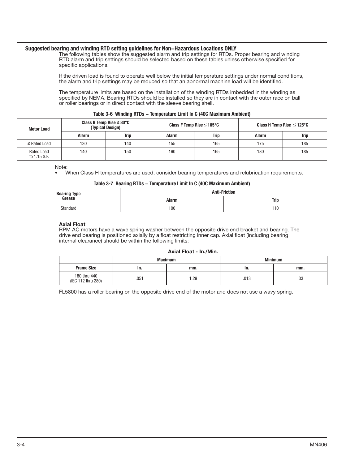### Suggested bearing and winding RTD setting guidelines for Non−Hazardous Locations ONLY

The following tables show the suggested alarm and trip settings for RTDs. Proper bearing and winding RTD alarm and trip settings should be selected based on these tables unless otherwise specified for specific applications.

If the driven load is found to operate well below the initial temperature settings under normal conditions, the alarm and trip settings may be reduced so that an abnormal machine load will be identified.

The temperature limits are based on the installation of the winding RTDs imbedded in the winding as specified by NEMA. Bearing RTDs should be installed so they are in contact with the outer race on ball or roller bearings or in direct contact with the sleeve bearing shell.

|                   |                                                           |             |                                        | Table 3-6 Winding RTDS – Temperature Limit in C (40C Maximum Ambient) |                                |             |
|-------------------|-----------------------------------------------------------|-------------|----------------------------------------|-----------------------------------------------------------------------|--------------------------------|-------------|
| <b>Motor Load</b> | Class B Temp Rise $\leq 80^{\circ}$ C<br>(Typical Design) |             | Class F Temp Rise $\leq 105^{\circ}$ C |                                                                       | Class H Temp Rise $\leq$ 125°C |             |
|                   | Alarm                                                     | <b>Trip</b> | Alarm                                  | Trip                                                                  | Alarm                          | <b>Trip</b> |

≤ Rated Load | 130 | 140 | 155 | 165 | 175 | 185

# Table 3-6 Winding RTDs − Temperature Limit In C (40C Maximum Ambient)

Note:

Rated Load to 1.15 S.F.

• When Class H temperatures are used, consider bearing temperatures and relubrication requirements.

140 | 150 | 160 | 165 | 180 | 185

#### Table 3-7 Bearing RTDs − Temperature Limit In C (40C Maximum Ambient)

| Bearing Type<br>Grease | <b>Anti-Friction</b> |             |  |  |
|------------------------|----------------------|-------------|--|--|
|                        | Alarm                | <b>Trip</b> |  |  |
| Standard               | 100<br>$\sim$ $\sim$ | 110         |  |  |

#### Axial Float

RPM AC motors have a wave spring washer between the opposite drive end bracket and bearing. The drive end bearing is positioned axially by a float restricting inner cap. Axial float (including bearing internal clearance) should be within the following limits:

#### Axial Float - In./Min.

|                                    |      | <b>Maximum</b> |      | <b>Minimum</b> |
|------------------------------------|------|----------------|------|----------------|
| <b>Frame Size</b>                  | In.  | mm.            | In.  | mm.            |
| 180 thru 440<br>(IEC 112 thru 280) | .051 | .29            | .013 | .33            |

FL5800 has a roller bearing on the opposite drive end of the motor and does not use a wavy spring.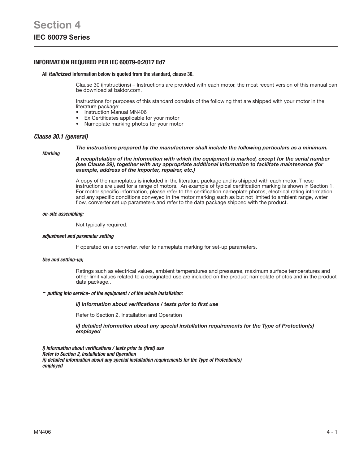# INFORMATION REQUIRED PER IEC 60079-0:2017 Ed7

#### All *italicized* information below is quoted from the standard, clause 30.

Clause 30 (instructions) – Instructions are provided with each motor, the most recent version of this manual can be download at baldor.com.

Instructions for purposes of this standard consists of the following that are shipped with your motor in the literature package:

- Instruction Manual MN406
- Ex Certificates applicable for your motor
- Nameplate marking photos for your motor

#### *Clause 30.1 (general)*

#### *The instructions prepared by the manufacturer shall include the following particulars as a minimum.*

#### *Marking*

*A recapitulation of the information with which the equipment is marked, except for the serial number (see Clause 29), together with any appropriate additional information to facilitate maintenance (for example, address of the importer, repairer, etc.)* 

A copy of the nameplates is included in the literature package and is shipped with each motor. These instructions are used for a range of motors. An example of typical certification marking is shown in Section 1. For motor specific information, please refer to the certification nameplate photos, electrical rating information and any specific conditions conveyed in the motor marking such as but not limited to ambient range, water flow, converter set up parameters and refer to the data package shipped with the product.

#### *on-site assembling:*

Not typically required.

#### *adjustment and parameter setting*

If operated on a converter, refer to nameplate marking for set-up parameters.

#### *Use and setting-up;*

Ratings such as electrical values, ambient temperatures and pressures, maximum surface temperatures and other limit values related to a designated use are included on the product nameplate photos and in the product data package..

#### *- putting into service- of the equipment / of the whole installation:*

#### *ii) Information about verifications / tests prior to first use*

Refer to Section 2, Installation and Operation

*ii) detailed information about any special installation requirements for the Type of Protection(s) employed* 

*i) information about verifications / tests prior to (first) use Refer to Section 2, Installation and Operation ii) detailed information about any special installation requirements for the Type of Protection(s) employed*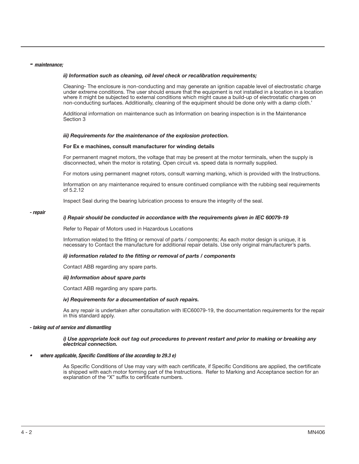#### *- maintenance;*

#### *ii) Information such as cleaning, oil level check or recalibration requirements;*

Cleaning- The enclosure is non-conducting and may generate an ignition capable level of electrostatic charge under extreme conditions. The user should ensure that the equipment is not installed in a location in a location where it might be subjected to external conditions which might cause a build-up of electrostatic charges on non-conducting surfaces. Additionally, cleaning of the equipment should be done only with a damp cloth.'

Additional information on maintenance such as Information on bearing inspection is in the Maintenance Section 3

#### *iii) Requirements for the maintenance of the explosion protection.*

#### For Ex e machines, consult manufacturer for winding details

For permanent magnet motors, the voltage that may be present at the motor terminals, when the supply is disconnected, when the motor is rotating. Open circuit vs. speed data is normally supplied.

For motors using permanent magnet rotors, consult warning marking, which is provided with the Instructions.

Information on any maintenance required to ensure continued compliance with the rubbing seal requirements of 5.2.12

Inspect Seal during the bearing lubrication process to ensure the integrity of the seal.

#### *- repair*

#### *i) Repair should be conducted in accordance with the requirements given in IEC 60079-19*

Refer to Repair of Motors used in Hazardous Locations

Information related to the fitting or removal of parts / components; As each motor design is unique, it is necessary to Contact the manufacture for additional repair details. Use only original manufacturer's parts.

#### *ii) information related to the fitting or removal of parts / components*

Contact ABB regarding any spare parts.

#### *iii) Information about spare parts*

Contact ABB regarding any spare parts.

#### *iv) Requirements for a documentation of such repairs.*

As any repair is undertaken after consultation with IEC60079-19, the documentation requirements for the repair in this standard apply.

#### *- taking out of service and dismantling*

#### *i) Use appropriate lock out tag out procedures to prevent restart and prior to making or breaking any electrical connection.*

#### *• where applicable, Specific Conditions of Use according to 29.3 e)*

As Specific Conditions of Use may vary with each certificate, if Specific Conditions are applied, the certificate is shipped with each motor forming part of the Instructions. Refer to Marking and Acceptance section for an explanation of the "X" suffix to certificate numbers.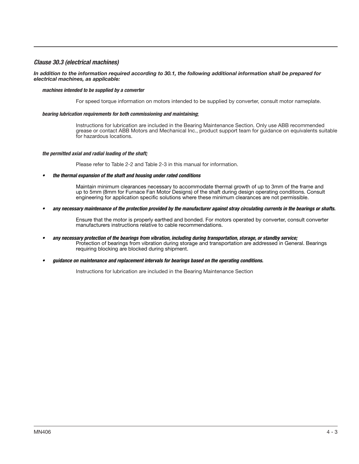# *Clause 30.3 (electrical machines)*

#### *In addition to the information required according to 30.1, the following additional information shall be prepared for electrical machines, as applicable:*

# *machines intended to be supplied by a converter*

For speed torque information on motors intended to be supplied by converter, consult motor nameplate.

#### *bearing lubrication requirements for both commissioning and maintaining*;

Instructions for lubrication are included in the Bearing Maintenance Section. Only use ABB recommended grease or contact ABB Motors and Mechanical Inc., product support team for guidance on equivalents suitable for hazardous locations.

#### *the permitted axial and radial loading of the shaft;*

Please refer to Table 2-2 and Table 2-3 in this manual for information.

*• the thermal expansion of the shaft and housing under rated conditions*

Maintain minimum clearances necessary to accommodate thermal growth of up to 3mm of the frame and up to 5mm (8mm for Furnace Fan Motor Designs) of the shaft during design operating conditions. Consult engineering for application specific solutions where these minimum clearances are not permissible.

*• any necessary maintenance of the protection provided by the manufacturer against stray circulating currents in the bearings or shafts.*

Ensure that the motor is properly earthed and bonded. For motors operated by converter, consult converter manufacturers instructions relative to cable recommendations.

- *• any necessary protection of the bearings from vibration, including during transportation, storage, or standby service;*  Protection of bearings from vibration during storage and transportation are addressed in General. Bearings requiring blocking are blocked during shipment.
- *• guidance on maintenance and replacement intervals for bearings based on the operating conditions.*

Instructions for lubrication are included in the Bearing Maintenance Section